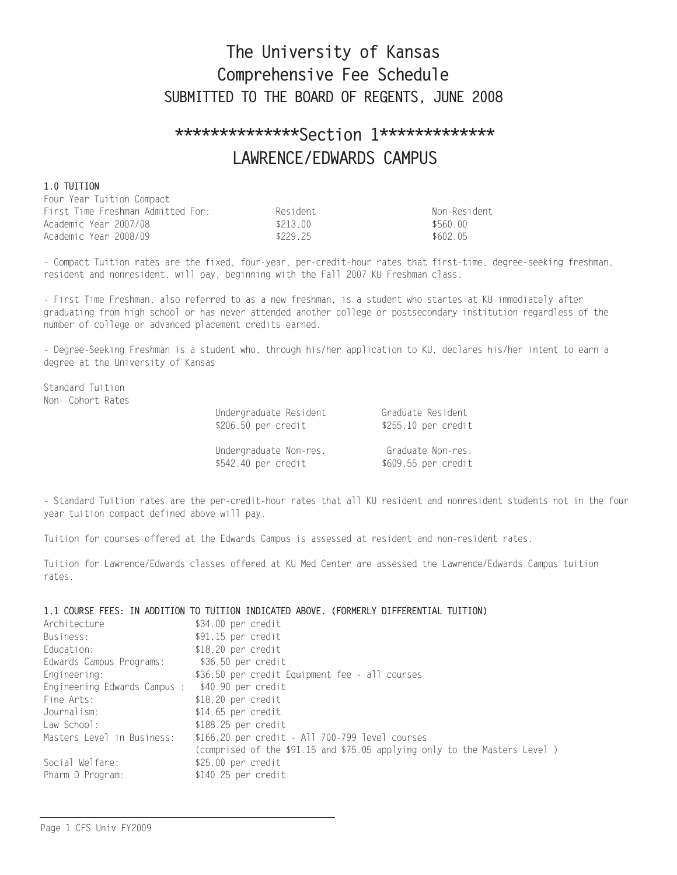# The University of Kansas Comprehensive Fee Schedule SUBMITTED TO THE BOARD OF REGENTS, JUNE 2008

# \*\*\*\*\*\*\*\*\*\*\*\*\*\*\*Section 1\*\*\*\*\*\*\*\*\*\*\*\*\* LAWRENCE/EDWARDS CAMPUS

# 1.0 TUITION

| Four Year Tuition Compact         |          |              |
|-----------------------------------|----------|--------------|
| First Time Freshman Admitted For: | Resident | Non-Resident |
| Academic Year 2007/08             | \$213 00 | \$560.00     |
| Academic Year 2008/09             | \$229 25 | \$602 05     |

- Compact Tuition rates are the fixed, four-year, per-credit-hour rates that first-time, degree-seeking freshman, resident and nonresident, will pay, beginning with the Fall 2007 KU Freshman class.

- First Time Freshman, also referred to as a new freshman, is a student who startes at KU immediately after graduating from high school or has never attended another college or postsecondary institution regardless of the number of college or advanced placement credits earned.

- Degree-Seeking Freshman is a student who, through his/her application to KU, declares his/her intent to earn a degree at the University of Kansas

Standard Tuition Non- Cohort Rates

| Undergraduate Resident | Graduate Resident   |
|------------------------|---------------------|
| \$206.50 per credit    | \$255.10 per credit |
| Undergraduate Non-res. | Graduate Non-res.   |
| \$542.40 per credit    | \$609.55 per credit |

- Standard Tuition rates are the per-credit-hour rates that all KU resident and nonresident students not in the four year tuition compact defined above will pay.

Tuition for courses offered at the Edwards Campus is assessed at resident and non-resident rates.

Tuition for Lawrence/Edwards classes offered at KU Med Center are assessed the Lawrence/Edwards Campus tuition rates.

# 1.1 COURSE FEES: IN ADDITION TO TUITION INDICATED ABOVE. (FORMERLY DIFFERENTIAL TUITION)

| Architecture                 | \$34.00 per credit                                                        |
|------------------------------|---------------------------------------------------------------------------|
| Business:                    | \$91.15 per credit                                                        |
| Education:                   | $$18.20$ per credit                                                       |
| Edwards Campus Programs:     | \$36.50 per credit                                                        |
| Engineering:                 | \$36.50 per credit Equipment fee - all courses                            |
| Engineering Edwards Campus : | \$40.90 per credit                                                        |
| Fine Arts:                   | $$18.20$ per credit                                                       |
| Journalism:                  | $$14.65$ per credit                                                       |
| Law School:                  | $$188.25$ per credit                                                      |
| Masters Level in Business:   | \$166.20 per credit - All 700-799 level courses                           |
|                              | (comprised of the \$91.15 and \$75.05 applying only to the Masters Level) |
| Social Welfare:              | $$25.00$ per credit                                                       |
| Pharm D Program:             | $$140.25$ per credit                                                      |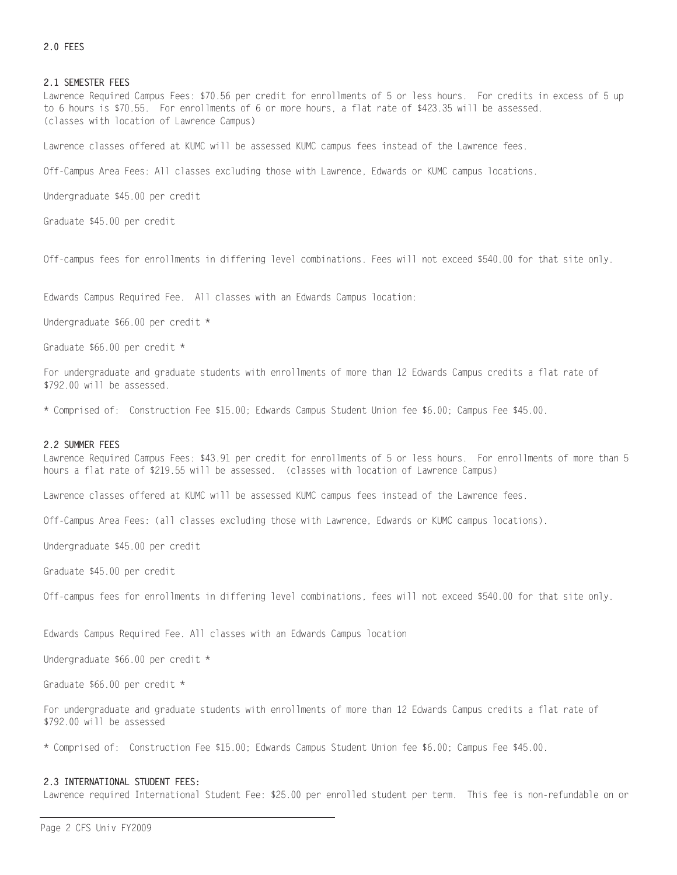# 2.0 FEES

#### 2.1 SEMESTER FEES

Lawrence Required Campus Fees: \$70.56 per credit for enrollments of 5 or less hours. For credits in excess of 5 up to 6 hours is \$70.55. For enrollments of 6 or more hours, a flat rate of \$423.35 will be assessed. (classes with location of Lawrence Campus)

Lawrence classes offered at KUMC will be assessed KUMC campus fees instead of the Lawrence fees.

Off-Campus Area Fees: All classes excluding those with Lawrence, Edwards or KUMC campus locations.

Undergraduate \$45.00 per credit

Graduate \$45.00 per credit

Off-campus fees for enrollments in differing level combinations. Fees will not exceed \$540.00 for that site only.

Edwards Campus Required Fee. All classes with an Edwards Campus location:

Undergraduate \$66.00 per credit \*

Graduate \$66.00 per credit \*

For undergraduate and graduate students with enrollments of more than 12 Edwards Campus credits a flat rate of \$792.00 will be assessed.

\* Comprised of: Construction Fee \$15.00; Edwards Campus Student Union fee \$6.00; Campus Fee \$45.00.

#### 2.2 SUMMER FEES

Lawrence Required Campus Fees: \$43.91 per credit for enrollments of 5 or less hours. For enrollments of more than 5 hours a flat rate of \$219.55 will be assessed. (classes with location of Lawrence Campus)

Lawrence classes offered at KUMC will be assessed KUMC campus fees instead of the Lawrence fees.

Off-Campus Area Fees: (all classes excluding those with Lawrence, Edwards or KUMC campus locations).

Undergraduate \$45.00 per credit

Graduate \$45.00 per credit

Off-campus fees for enrollments in differing level combinations, fees will not exceed \$540.00 for that site only.

Edwards Campus Required Fee. All classes with an Edwards Campus location

Undergraduate \$66.00 per credit \*

Graduate \$66.00 per credit \*

For undergraduate and graduate students with enrollments of more than 12 Edwards Campus credits a flat rate of \$792.00 will be assessed

\* Comprised of: Construction Fee \$15.00; Edwards Campus Student Union fee \$6.00; Campus Fee \$45.00.

#### 2.3 INTERNATIONAL STUDENT FEES:

Lawrence required International Student Fee: \$25.00 per enrolled student per term. This fee is non-refundable on or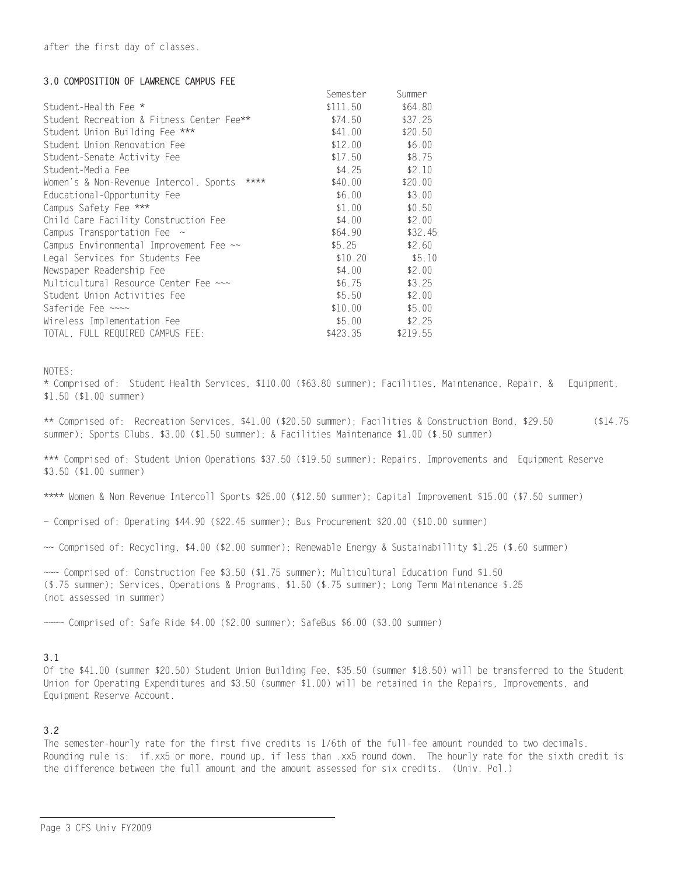# 3.0 COMPOSITION OF LAWRENCE CAMPUS FEE

|                                                | <b>Semester</b> | <b>Summer</b> |
|------------------------------------------------|-----------------|---------------|
| Student-Health Fee *                           | \$111.50        | \$64.80       |
| Student Recreation & Fitness Center Fee**      | \$74.50         | \$37.25       |
| Student Union Building Fee ***                 | \$41.00         | \$20.50       |
| Student Union Renovation Fee                   | \$12.00         | \$6.00        |
| Student-Senate Activity Fee                    | \$17.50         | \$8.75        |
| Student-Media Fee                              | \$4.25          | \$2.10        |
| ****<br>Women's & Non-Revenue Intercol. Sports | \$40.00         | \$20.00       |
| Educational-Opportunity Fee                    | \$6.00          | \$3.00        |
| Campus Safety Fee ***                          | \$1.00          | \$0.50        |
| Child Care Facility Construction Fee           | \$4.00          | \$2.00        |
| Campus Transportation Fee $\sim$               | \$64.90         | \$32.45       |
| Campus Environmental Improvement Fee ~~        | \$5.25          | \$2.60        |
| Legal Services for Students Fee                | \$10.20         | \$5.10        |
| Newspaper Readership Fee                       | \$4.00          | \$2.00        |
| Multicultural Resource Center Fee ~~~          | \$6.75          | \$3.25        |
| Student Union Activities Fee                   | \$5.50          | \$2.00        |
| Saferide Fee ~~~~                              | \$10.00         | \$5.00        |
| Wireless Implementation Fee                    | \$5.00          | \$2.25        |
| TOTAL, FULL REQUIRED CAMPUS FEE:               | \$423.35        | \$219.55      |

NOTES:

\* Comprised of: Student Health Services, \$110.00 (\$63.80 summer); Facilities, Maintenance, Repair, & Equipment,  $$1.50$   $($1.00$  summer)

\*\* Comprised of: Recreation Services, \$41.00 (\$20.50 summer); Facilities & Construction Bond, \$29.50  $( $14.75$ summer); Sports Clubs, \$3.00 (\$1.50 summer); & Facilities Maintenance \$1.00 (\$.50 summer)

\*\*\* Comprised of: Student Union Operations \$37.50 (\$19.50 summer); Repairs, Improvements and Equipment Reserve  $$3.50$  ( $$1.00$  summer)

\*\*\*\* Women & Non Revenue Intercoll Sports \$25.00 (\$12.50 summer); Capital Improvement \$15.00 (\$7.50 summer)

- $\sim$  Comprised of: Operating \$44.90 (\$22.45 summer); Bus Procurement \$20.00 (\$10.00 summer)
- ~~ Comprised of: Recycling, \$4.00 (\$2.00 summer); Renewable Energy & Sustainabillity \$1.25 (\$.60 summer)

~~~ Comprised of: Construction Fee \$3.50 (\$1.75 summer); Multicultural Education Fund \$1.50 (\$.75 summer); Services, Operations & Programs, \$1.50 (\$.75 summer); Long Term Maintenance \$.25 (not assessed in summer)

 $\sim$  Comprised of: Safe Ride \$4.00 (\$2.00 summer); SafeBus \$6.00 (\$3.00 summer)

# $3.1$

Of the \$41.00 (summer \$20.50) Student Union Building Fee, \$35.50 (summer \$18.50) will be transferred to the Student Union for Operating Expenditures and \$3.50 (summer \$1.00) will be retained in the Repairs, Improvements, and Equipment Reserve Account.

# $3.2$

The semester-hourly rate for the first five credits is 1/6th of the full-fee amount rounded to two decimals. Rounding rule is: if.xx5 or more, round up, if less than .xx5 round down. The hourly rate for the sixth credit is the difference between the full amount and the amount assessed for six credits. (Univ. Pol.)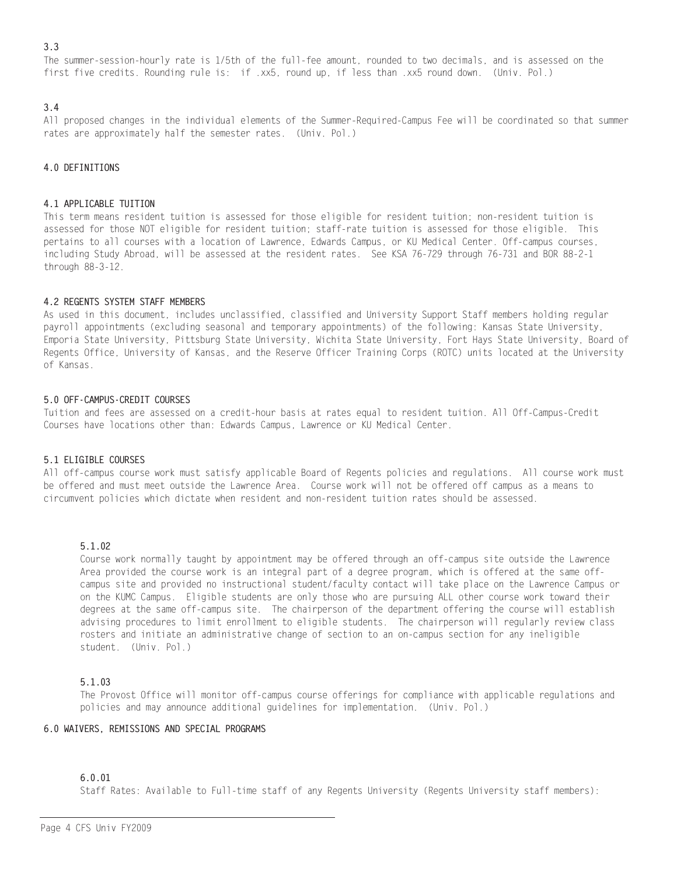# $3.3$

The summer-session-hourly rate is 1/5th of the full-fee amount, rounded to two decimals, and is assessed on the first five credits. Rounding rule is: if .xx5, round up, if less than .xx5 round down. (Univ. Pol.)

# $3.4$

All proposed changes in the individual elements of the Summer-Required-Campus Fee will be coordinated so that summer rates are approximately half the semester rates. (Univ. Pol.)

# 4.0 DEFINITIONS

# 4.1 APPLICABLE TUITION

This term means resident tuition is assessed for those eligible for resident tuition; non-resident tuition is assessed for those NOT eligible for resident tuition; staff-rate tuition is assessed for those eligible. This pertains to all courses with a location of Lawrence, Edwards Campus, or KU Medical Center. Off-campus courses, including Study Abroad, will be assessed at the resident rates. See KSA 76-729 through 76-731 and BOR 88-2-1 through 88-3-12.

# 4.2 REGENTS SYSTEM STAFF MEMBERS

As used in this document, includes unclassified, classified and University Support Staff members holding regular payroll appointments (excluding seasonal and temporary appointments) of the following: Kansas State University, Emporia State University, Pittsburg State University, Wichita State University, Fort Hays State University, Board of Regents Office, University of Kansas, and the Reserve Officer Training Corps (ROTC) units located at the University of Kansas.

# 5.0 OFF-CAMPUS-CREDIT COURSES

Tuition and fees are assessed on a credit-hour basis at rates equal to resident tuition. All Off-Campus-Credit Courses have locations other than: Edwards Campus, Lawrence or KU Medical Center.

# 5.1 ELIGIBLE COURSES

All off-campus course work must satisfy applicable Board of Regents policies and regulations. All course work must be offered and must meet outside the Lawrence Area. Course work will not be offered off campus as a means to circumvent policies which dictate when resident and non-resident tuition rates should be assessed.

# $5.1.02$

Course work normally taught by appointment may be offered through an off-campus site outside the Lawrence Area provided the course work is an integral part of a degree program, which is offered at the same offcampus site and provided no instructional student/faculty contact will take place on the Lawrence Campus or on the KUMC Campus. Eligible students are only those who are pursuing ALL other course work toward their degrees at the same off-campus site. The chairperson of the department offering the course will establish advising procedures to limit enrollment to eligible students. The chairperson will regularly review class rosters and initiate an administrative change of section to an on-campus section for any ineligible student. (Univ. Pol.)

# $5.1.03$

The Provost Office will monitor off-campus course offerings for compliance with applicable regulations and policies and may announce additional guidelines for implementation. (Univ. Pol.)

# 6.0 WAIVERS, REMISSIONS AND SPECIAL PROGRAMS

# $6.0.01$

Staff Rates: Available to Full-time staff of any Regents University (Regents University staff members):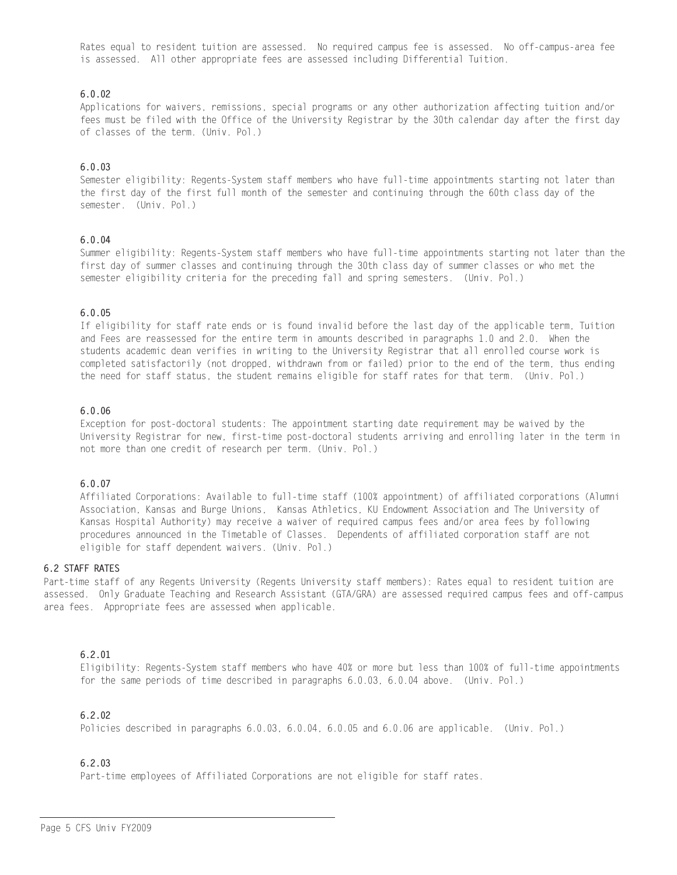Rates equal to resident tuition are assessed. No required campus fee is assessed. No off-campus-area fee is assessed. All other appropriate fees are assessed including Differential Tuition.

# $6.0.02$

Applications for waivers, remissions, special programs or any other authorization affecting tuition and/or fees must be filed with the Office of the University Registrar by the 30th calendar day after the first day of classes of the term. (Univ. Pol.)

# $6.0.03$

Semester eligibility: Regents-System staff members who have full-time appointments starting not later than the first day of the first full month of the semester and continuing through the 60th class day of the semester. (Univ. Pol.)

# $6.0.04$

Summer eligibility: Regents-System staff members who have full-time appointments starting not later than the first day of summer classes and continuing through the 30th class day of summer classes or who met the semester eligibility criteria for the preceding fall and spring semesters. (Univ. Pol.)

# $6.0.05$

If eligibility for staff rate ends or is found invalid before the last day of the applicable term, Tuition and Fees are reassessed for the entire term in amounts described in paragraphs 1.0 and 2.0. When the students academic dean verifies in writing to the University Registrar that all enrolled course work is completed satisfactorily (not dropped, withdrawn from or failed) prior to the end of the term, thus ending the need for staff status, the student remains eligible for staff rates for that term. (Univ. Pol.)

# $6.0.06$

Exception for post-doctoral students: The appointment starting date requirement may be waived by the University Registrar for new, first-time post-doctoral students arriving and enrolling later in the term in not more than one credit of research per term. (Univ. Pol.)

# $6.0.07$

Affiliated Corporations: Available to full-time staff (100% appointment) of affiliated corporations (Alumni Association, Kansas and Burge Unions, Kansas Athletics, KU Endowment Association and The University of Kansas Hospital Authority) may receive a waiver of required campus fees and/or area fees by following procedures announced in the Timetable of Classes. Dependents of affiliated corporation staff are not eligible for staff dependent waivers. (Univ. Pol.)

# **6.2 STAFF RATES**

Part-time staff of any Regents University (Regents University staff members): Rates equal to resident tuition are assessed. Only Graduate Teaching and Research Assistant (GTA/GRA) are assessed required campus fees and off-campus area fees. Appropriate fees are assessed when applicable.

# $6.2.01$

Eligibility: Regents-System staff members who have 40% or more but less than 100% of full-time appointments for the same periods of time described in paragraphs 6.0.03, 6.0.04 above. (Univ. Pol.)

# $6.2.02$

Policies described in paragraphs 6.0.03, 6.0.04, 6.0.05 and 6.0.06 are applicable. (Univ. Pol.)

# 6 2 03

Part-time employees of Affiliated Corporations are not eligible for staff rates.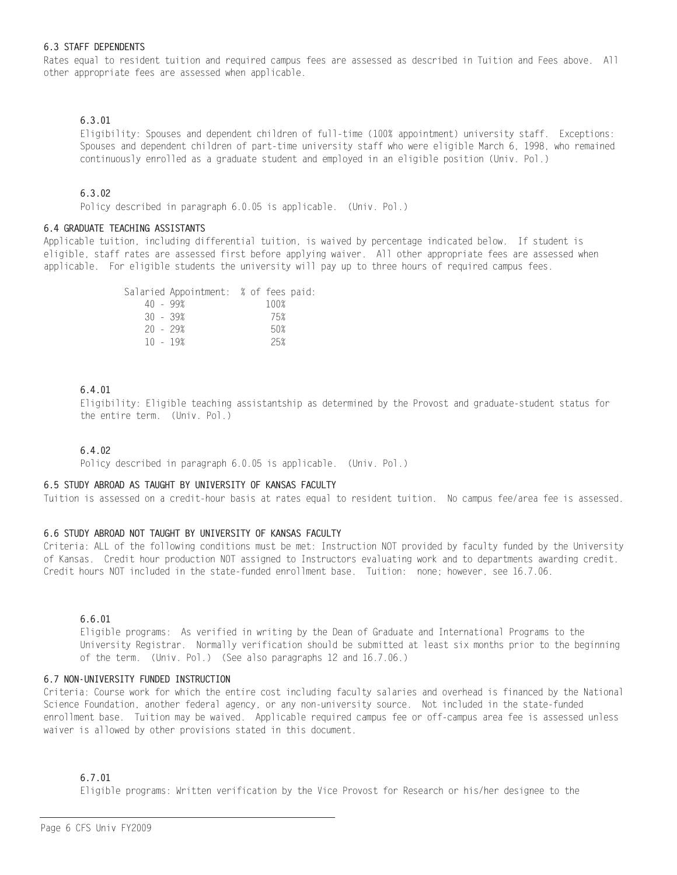## **6.3 STAFF DEPENDENTS**

Rates equal to resident tuition and required campus fees are assessed as described in Tuition and Fees above. All other appropriate fees are assessed when applicable.

# $6.3.01$

Eligibility: Spouses and dependent children of full-time (100% appointment) university staff. Exceptions: Spouses and dependent children of part-time university staff who were eligible March 6, 1998, who remained continuously enrolled as a graduate student and employed in an eligible position (Univ. Pol.)

# $6.3.02$

Policy described in paragraph 6.0.05 is applicable. (Univ. Pol.)

## 6.4 GRADUATE TEACHING ASSISTANTS

Applicable tuition, including differential tuition, is waived by percentage indicated below. If student is eligible, staff rates are assessed first before applying waiver. All other appropriate fees are assessed when applicable. For eligible students the university will pay up to three hours of required campus fees.

|            | Salaried Appointment: % of fees paid: |  |      |  |
|------------|---------------------------------------|--|------|--|
| 40 - 99%   |                                       |  | 100% |  |
| $30 - 39%$ |                                       |  | 75%  |  |
| $20 - 29%$ |                                       |  | 50%  |  |
| $10 - 19%$ |                                       |  | 25%  |  |
|            |                                       |  |      |  |

# 6.4.01

Eligibility: Eligible teaching assistantship as determined by the Provost and graduate-student status for the entire term. (Univ. Pol.)

# $6.4.02$

Policy described in paragraph 6.0.05 is applicable. (Univ. Pol.)

## 6.5 STUDY ABROAD AS TAUGHT BY UNIVERSITY OF KANSAS FACULTY

Tuition is assessed on a credit-hour basis at rates equal to resident tuition. No campus fee/area fee is assessed.

# 6.6 STUDY ABROAD NOT TAUGHT BY UNIVERSITY OF KANSAS FACULTY

Criteria: ALL of the following conditions must be met: Instruction NOT provided by faculty funded by the University of Kansas. Credit hour production NOT assigned to Instructors evaluating work and to departments awarding credit. Credit hours NOT included in the state-funded enrollment base. Tuition: none; however, see 16.7.06.

# 6.6.01

Eligible programs: As verified in writing by the Dean of Graduate and International Programs to the University Registrar. Normally verification should be submitted at least six months prior to the beginning of the term. (Univ. Pol.) (See also paragraphs 12 and 16.7.06.)

#### 6.7 NON-UNIVERSITY FUNDED INSTRUCTION

Criteria: Course work for which the entire cost including faculty salaries and overhead is financed by the National Science Foundation, another federal agency, or any non-university source. Not included in the state-funded enrollment base. Tuition may be waived. Applicable required campus fee or off-campus area fee is assessed unless waiver is allowed by other provisions stated in this document.

# 6.7.01

Eligible programs: Written verification by the Vice Provost for Research or his/her designee to the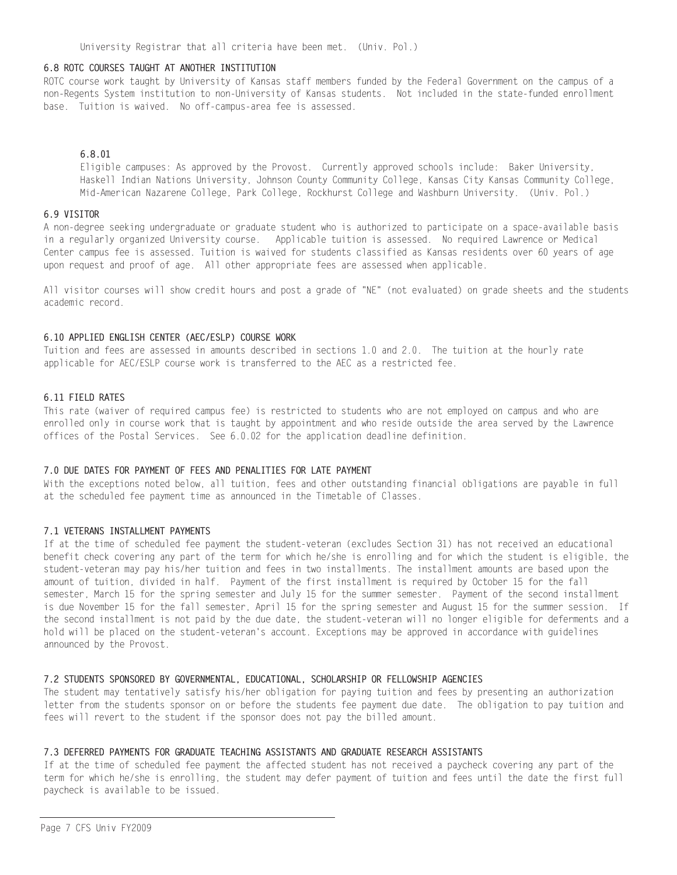### 6.8 ROTC COURSES TAUGHT AT ANOTHER INSTITUTION

ROTC course work taught by University of Kansas staff members funded by the Federal Government on the campus of a non-Regents System institution to non-University of Kansas students. Not included in the state-funded enrollment base. Tuition is waived. No off-campus-area fee is assessed.

# 6.8.01

Eligible campuses: As approved by the Provost. Currently approved schools include: Baker University, Haskell Indian Nations University, Johnson County Community College, Kansas City Kansas Community College, Mid-American Nazarene College, Park College, Rockhurst College and Washburn University. (Univ. Pol.)

#### 6 9 VISITOR

A non-degree seeking undergraduate or graduate student who is authorized to participate on a space-available basis in a regularly organized University course. Applicable tuition is assessed. No required Lawrence or Medical Center campus fee is assessed. Tuition is waived for students classified as Kansas residents over 60 years of age upon request and proof of age. All other appropriate fees are assessed when applicable.

All visitor courses will show credit hours and post a grade of "NE" (not evaluated) on grade sheets and the students academic record.

# 6.10 APPLIED ENGLISH CENTER (AEC/ESLP) COURSE WORK

Tuition and fees are assessed in amounts described in sections 1.0 and 2.0. The tuition at the hourly rate applicable for AEC/ESLP course work is transferred to the AEC as a restricted fee.

#### 6 11 FIFID RATES

This rate (waiver of required campus fee) is restricted to students who are not employed on campus and who are enrolled only in course work that is taught by appointment and who reside outside the area served by the Lawrence offices of the Postal Services. See 6.0.02 for the application deadline definition.

## 7.0 DUE DATES FOR PAYMENT OF FEES AND PENALITIES FOR LATE PAYMENT

With the exceptions noted below, all tuition, fees and other outstanding financial obligations are payable in full at the scheduled fee payment time as announced in the Timetable of Classes.

#### 7.1 VETERANS INSTALLMENT PAYMENTS

If at the time of scheduled fee payment the student-veteran (excludes Section 31) has not received an educational benefit check covering any part of the term for which he/she is enrolling and for which the student is eligible, the student-veteran may pay his/her tuition and fees in two installments. The installment amounts are based upon the amount of tuition, divided in half. Payment of the first installment is required by October 15 for the fall semester, March 15 for the spring semester and July 15 for the summer semester. Payment of the second installment is due November 15 for the fall semester. April 15 for the spring semester and August 15 for the summer session. If the second installment is not paid by the due date, the student-veteran will no longer eligible for deferments and a hold will be placed on the student-veteran's account. Exceptions may be approved in accordance with guidelines announced by the Provost.

#### 7.2 STUDENTS SPONSORED BY GOVERNMENTAL, EDUCATIONAL, SCHOLARSHIP OR FELLOWSHIP AGENCIES

The student may tentatively satisfy his/her obligation for paying tuition and fees by presenting an authorization letter from the students sponsor on or before the students fee payment due date. The obligation to pay tuition and fees will revert to the student if the sponsor does not pay the billed amount.

#### 7.3 DEFERRED PAYMENTS FOR GRADUATE TEACHING ASSISTANTS AND GRADUATE RESEARCH ASSISTANTS

If at the time of scheduled fee payment the affected student has not received a paycheck covering any part of the term for which he/she is enrolling, the student may defer payment of tuition and fees until the date the first full paycheck is available to be issued.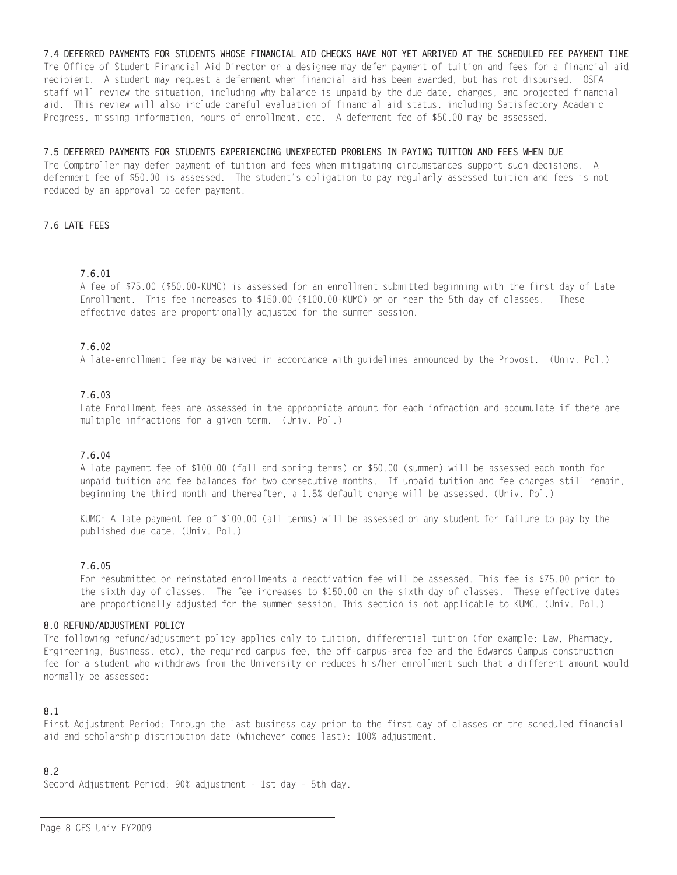7.4 DEFERRED PAYMENTS FOR STUDENTS WHOSE FINANCIAL AID CHECKS HAVE NOT YET ARRIVED AT THE SCHEDULED FEE PAYMENT TIME The Office of Student Financial Aid Director or a designee may defer payment of tuition and fees for a financial aid recipient. A student may request a deferment when financial aid has been awarded, but has not disbursed. OSFA staff will review the situation, including why balance is unpaid by the due date, charges, and projected financial aid. This review will also include careful evaluation of financial aid status, including Satisfactory Academic Progress, missing information, hours of enrollment, etc. A deferment fee of \$50.00 may be assessed.

# 7.5 DEFERRED PAYMENTS FOR STUDENTS EXPERIENCING UNEXPECTED PROBLEMS IN PAYING TUITION AND FEES WHEN DUE

The Comptroller may defer payment of tuition and fees when mitigating circumstances support such decisions. A deferment fee of \$50.00 is assessed. The student's obligation to pay regularly assessed tuition and fees is not reduced by an approval to defer payment.

# 7.6 LATE FEES

# 7.6.01

A fee of \$75.00 (\$50.00-KUMC) is assessed for an enrollment submitted beginning with the first day of Late Enrollment. This fee increases to \$150.00 (\$100.00-KUMC) on or near the 5th day of classes. These effective dates are proportionally adjusted for the summer session.

# 7.6.02

A late-enrollment fee may be waived in accordance with guidelines announced by the Provost. (Univ. Pol.)

# 7.6.03

Late Enrollment fees are assessed in the appropriate amount for each infraction and accumulate if there are multiple infractions for a given term. (Univ. Pol.)

# 7.6.04

A late payment fee of \$100.00 (fall and spring terms) or \$50.00 (summer) will be assessed each month for unpaid tuition and fee balances for two consecutive months. If unpaid tuition and fee charges still remain, beginning the third month and thereafter, a 1.5% default charge will be assessed. (Univ. Pol.)

KUMC: A late payment fee of \$100.00 (all terms) will be assessed on any student for failure to pay by the published due date. (Univ. Pol.)

# 7.6.05

For resubmitted or reinstated enrollments a reactivation fee will be assessed. This fee is \$75.00 prior to the sixth day of classes. The fee increases to \$150.00 on the sixth day of classes. These effective dates are proportionally adjusted for the summer session. This section is not applicable to KUMC. (Univ. Pol.)

#### 8.0 REFUND/ADJUSTMENT POLICY

The following refund/adjustment policy applies only to tuition, differential tuition (for example: Law, Pharmacy, Engineering, Business, etc), the required campus fee, the off-campus-area fee and the Edwards Campus construction fee for a student who withdraws from the University or reduces his/her enrollment such that a different amount would normally be assessed:

# 8.1

First Adjustment Period: Through the last business day prior to the first day of classes or the scheduled financial aid and scholarship distribution date (whichever comes last): 100% adjustment.

# $8.2$

Second Adjustment Period: 90% adjustment - 1st day - 5th day.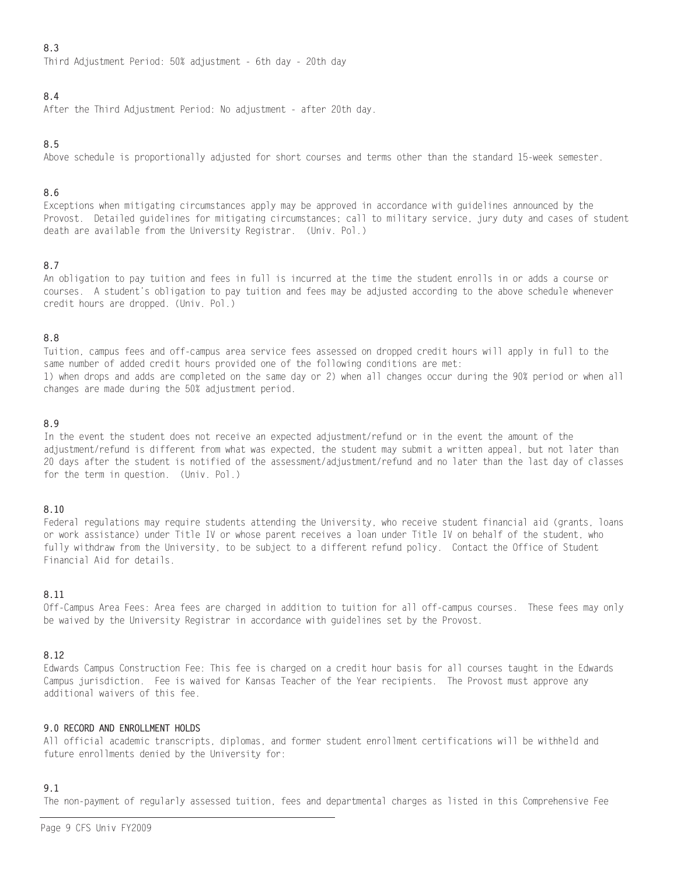# 8.3

Third Adjustment Period: 50% adjustment - 6th day - 20th day

# 8.4

After the Third Adjustment Period: No adjustment - after 20th day.

# 8.5

Above schedule is proportionally adjusted for short courses and terms other than the standard 15-week semester.

# 8.6

Exceptions when mitigating circumstances apply may be approved in accordance with guidelines announced by the Provost. Detailed guidelines for mitigating circumstances; call to military service, jury duty and cases of student death are available from the University Registrar. (Univ. Pol.)

# 8.7

An obligation to pay tuition and fees in full is incurred at the time the student enrolls in or adds a course or courses. A student's obligation to pay tuition and fees may be adjusted according to the above schedule whenever credit hours are dropped. (Univ. Pol.)

# 8.8

Tuition, campus fees and off-campus area service fees assessed on dropped credit hours will apply in full to the same number of added credit hours provided one of the following conditions are met: 1) when drops and adds are completed on the same day or 2) when all changes occur during the 90% period or when all changes are made during the 50% adjustment period.

# 8.9

In the event the student does not receive an expected adjustment/refund or in the event the amount of the adjustment/refund is different from what was expected, the student may submit a written appeal, but not later than 20 days after the student is notified of the assessment/adjustment/refund and no later than the last day of classes for the term in question. (Univ. Pol.)

# 8.10

Federal regulations may require students attending the University, who receive student financial aid (grants, loans or work assistance) under Title IV or whose parent receives a loan under Title IV on behalf of the student, who fully withdraw from the University, to be subject to a different refund policy. Contact the Office of Student Financial Aid for details.

# 8.11

Off-Campus Area Fees: Area fees are charged in addition to tuition for all off-campus courses. These fees may only be waived by the University Registrar in accordance with guidelines set by the Provost.

# 8.12

Edwards Campus Construction Fee: This fee is charged on a credit hour basis for all courses taught in the Edwards Campus jurisdiction. Fee is waived for Kansas Teacher of the Year recipients. The Provost must approve any additional waivers of this fee.

# 9.0 RECORD AND ENROLLMENT HOLDS

All official academic transcripts, diplomas, and former student enrollment certifications will be withheld and future enrollments denied by the University for:

# $9.1$

The non-payment of regularly assessed tuition, fees and departmental charges as listed in this Comprehensive Fee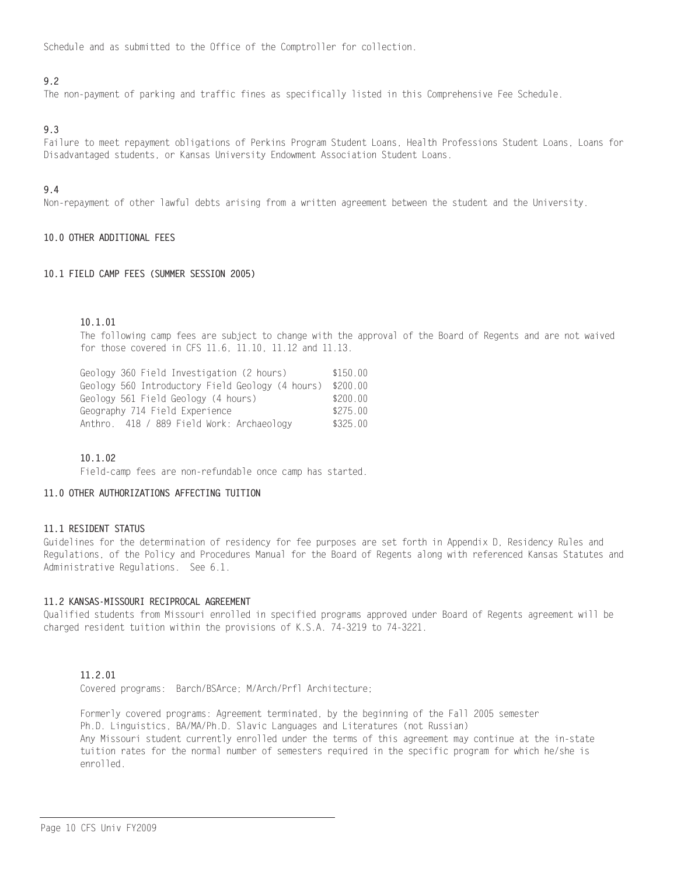Schedule and as submitted to the Office of the Comptroller for collection.

# $9.2$

The non-payment of parking and traffic fines as specifically listed in this Comprehensive Fee Schedule.

# 9.3

Failure to meet repayment obligations of Perkins Program Student Loans, Health Professions Student Loans, Loans for Disadvantaged students, or Kansas University Endowment Association Student Loans,

# $9.4$

Non-repayment of other lawful debts arising from a written agreement between the student and the University.

# 10.0 OTHER ADDITIONAL FEES

#### 10.1 FIELD CAMP FEES (SUMMER SESSION 2005)

# $10.1.01$

The following camp fees are subject to change with the approval of the Board of Regents and are not waived for those covered in CFS 11.6, 11.10, 11.12 and 11.13.

Geology 360 Field Investigation (2 hours)  $$150.00$ Geology 560 Introductory Field Geology (4 hours) \$200.00 Geology 561 Field Geology (4 hours) \$200.00 Geography 714 Field Experience  $$275.00$ Anthro. 418 / 889 Field Work: Archaeology \$325.00

# $10.1.02$

Field-camp fees are non-refundable once camp has started.

# 11.0 OTHER AUTHORIZATIONS AFFECTING TUITION

## 11.1 RESIDENT STATUS

Guidelines for the determination of residency for fee purposes are set forth in Appendix D, Residency Rules and Regulations, of the Policy and Procedures Manual for the Board of Regents along with referenced Kansas Statutes and Administrative Regulations. See 6.1.

## 11.2 KANSAS-MISSOURI RECIPROCAL AGREEMENT

Qualified students from Missouri enrolled in specified programs approved under Board of Regents agreement will be charged resident tuition within the provisions of K.S.A. 74-3219 to 74-3221.

# $11, 2, 01$

Covered programs: Barch/BSArce; M/Arch/Prfl Architecture;

Formerly covered programs: Agreement terminated, by the beginning of the Fall 2005 semester Ph.D. Linguistics, BA/MA/Ph.D. Slavic Languages and Literatures (not Russian) Any Missouri student currently enrolled under the terms of this agreement may continue at the in-state tuition rates for the normal number of semesters required in the specific program for which he/she is enrolled.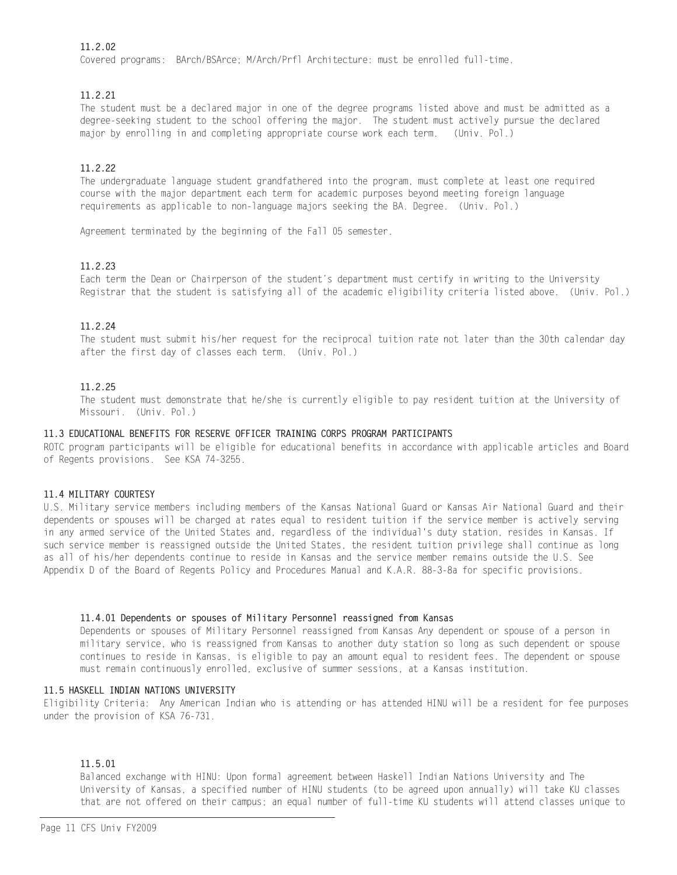# 11.2.02

Covered programs: BArch/BSArce; M/Arch/Prfl Architecture: must be enrolled full-time.

# 11.2.21

The student must be a declared major in one of the degree programs listed above and must be admitted as a degree-seeking student to the school offering the major. The student must actively pursue the declared major by enrolling in and completing appropriate course work each term. (Univ. Pol.)

# $11.2.22$

The undergraduate language student grandfathered into the program, must complete at least one required course with the major department each term for academic purposes beyond meeting foreign language requirements as applicable to non-language majors seeking the BA. Degree. (Univ. Pol.)

Agreement terminated by the beginning of the Fall 05 semester.

# $11.2.23$

Each term the Dean or Chairperson of the student's department must certify in writing to the University Registrar that the student is satisfying all of the academic eligibility criteria listed above. (Univ. Pol.)

# 11.2.24

The student must submit his/her request for the reciprocal tuition rate not later than the 30th calendar day after the first day of classes each term. (Univ. Pol.)

# 11.2.25

The student must demonstrate that he/she is currently eligible to pay resident tuition at the University of Missouri. (Univ. Pol.)

# 11.3 EDUCATIONAL BENEFITS FOR RESERVE OFFICER TRAINING CORPS PROGRAM PARTICIPANTS

ROTC program participants will be eligible for educational benefits in accordance with applicable articles and Board of Regents provisions. See KSA 74-3255.

# 11.4 MILITARY COURTESY

U.S. Military service members including members of the Kansas National Guard or Kansas Air National Guard and their dependents or spouses will be charged at rates equal to resident tuition if the service member is actively serving in any armed service of the United States and, regardless of the individual's duty station, resides in Kansas. If such service member is reassigned outside the United States, the resident tuition privilege shall continue as long as all of his/her dependents continue to reside in Kansas and the service member remains outside the U.S. See Appendix D of the Board of Regents Policy and Procedures Manual and K.A.R. 88-3-8a for specific provisions.

# 11.4.01 Dependents or spouses of Military Personnel reassigned from Kansas

Dependents or spouses of Military Personnel reassigned from Kansas Any dependent or spouse of a person in military service, who is reassigned from Kansas to another duty station so long as such dependent or spouse continues to reside in Kansas, is eligible to pay an amount equal to resident fees. The dependent or spouse must remain continuously enrolled, exclusive of summer sessions, at a Kansas institution.

# 11.5 HASKELL INDIAN NATIONS UNIVERSITY

Eligibility Criteria: Any American Indian who is attending or has attended HINU will be a resident for fee purposes under the provision of KSA 76-731.

# 11.5.01

Balanced exchange with HINU: Upon formal agreement between Haskell Indian Nations University and The University of Kansas, a specified number of HINU students (to be agreed upon annually) will take KU classes that are not offered on their campus; an equal number of full-time KU students will attend classes unique to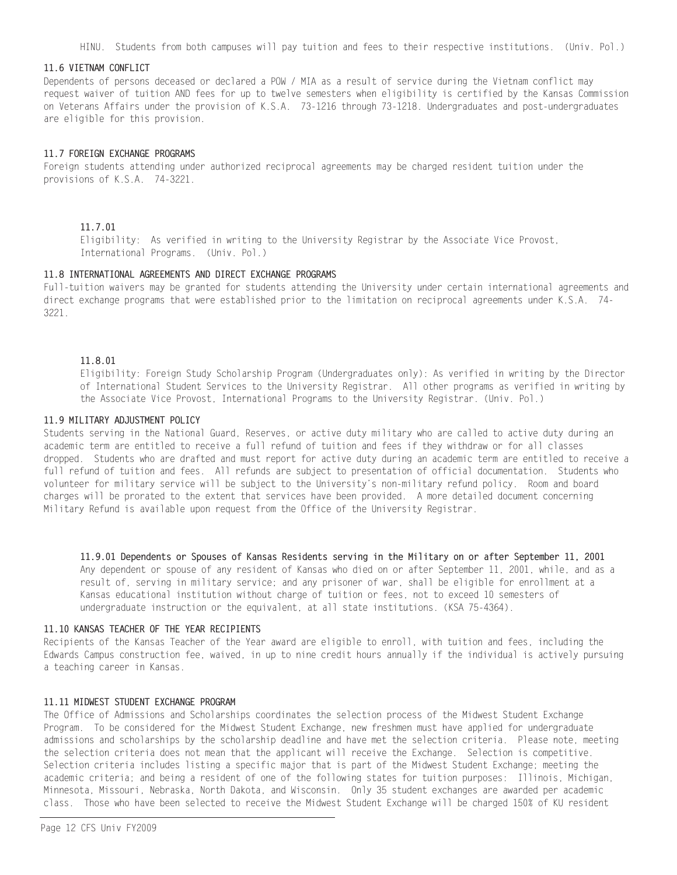HINU. Students from both campuses will pay tuition and fees to their respective institutions. (Univ. Pol.)

#### 11.6 VIETNAM CONFLICT

Dependents of persons deceased or declared a POW / MIA as a result of service during the Vietnam conflict may request waiver of tuition AND fees for up to twelve semesters when eligibility is certified by the Kansas Commission on Veterans Affairs under the provision of K.S.A. 73-1216 through 73-1218. Undergraduates and post-undergraduates are eligible for this provision.

#### 11.7 FOREIGN EXCHANGE PROGRAMS

Foreign students attending under authorized reciprocal agreements may be charged resident tuition under the provisions of K.S.A. 74-3221.

#### 11.7.01

Eligibility: As verified in writing to the University Registrar by the Associate Vice Provost, International Programs. (Univ. Pol.)

## 11.8 INTERNATIONAL AGREEMENTS AND DIRECT EXCHANGE PROGRAMS

Full-tuition waivers may be granted for students attending the University under certain international agreements and direct exchange programs that were established prior to the limitation on reciprocal agreements under K.S.A. 74-3221.

#### 11.8.01

Eligibility: Foreign Study Scholarship Program (Undergraduates only): As verified in writing by the Director of International Student Services to the University Registrar. All other programs as verified in writing by the Associate Vice Provost, International Programs to the University Registrar. (Univ. Pol.)

# 11.9 MILITARY ADJUSTMENT POLICY

Students serving in the National Guard, Reserves, or active duty military who are called to active duty during an academic term are entitled to receive a full refund of tuition and fees if they withdraw or for all classes dropped. Students who are drafted and must report for active duty during an academic term are entitled to receive a full refund of tuition and fees. All refunds are subject to presentation of official documentation. Students who volunteer for military service will be subject to the University's non-military refund policy. Room and board charges will be prorated to the extent that services have been provided. A more detailed document concerning Military Refund is available upon request from the Office of the University Registrar.

11.9.01 Dependents or Spouses of Kansas Residents serving in the Military on or after September 11, 2001 Any dependent or spouse of any resident of Kansas who died on or after September 11, 2001, while, and as a result of, serving in military service; and any prisoner of war, shall be eligible for enrollment at a Kansas educational institution without charge of tuition or fees, not to exceed 10 semesters of undergraduate instruction or the equivalent, at all state institutions. (KSA 75-4364).

# 11.10 KANSAS TEACHER OF THE YEAR RECIPIFNTS

Recipients of the Kansas Teacher of the Year award are eligible to enroll, with tuition and fees, including the Edwards Campus construction fee, waived, in up to nine credit hours annually if the individual is actively pursuing a teaching career in Kansas.

# 11.11 MIDWEST STUDENT EXCHANGE PROGRAM

The Office of Admissions and Scholarships coordinates the selection process of the Midwest Student Exchange Program. To be considered for the Midwest Student Exchange, new freshmen must have applied for undergraduate admissions and scholarships by the scholarship deadline and have met the selection criteria. Please note, meeting the selection criteria does not mean that the applicant will receive the Exchange. Selection is competitive. Selection criteria includes listing a specific major that is part of the Midwest Student Exchange; meeting the academic criteria; and being a resident of one of the following states for tuition purposes: Illinois, Michigan, Minnesota, Missouri, Nebraska, North Dakota, and Wisconsin. Only 35 student exchanges are awarded per academic class. Those who have been selected to receive the Midwest Student Exchange will be charged 150% of KU resident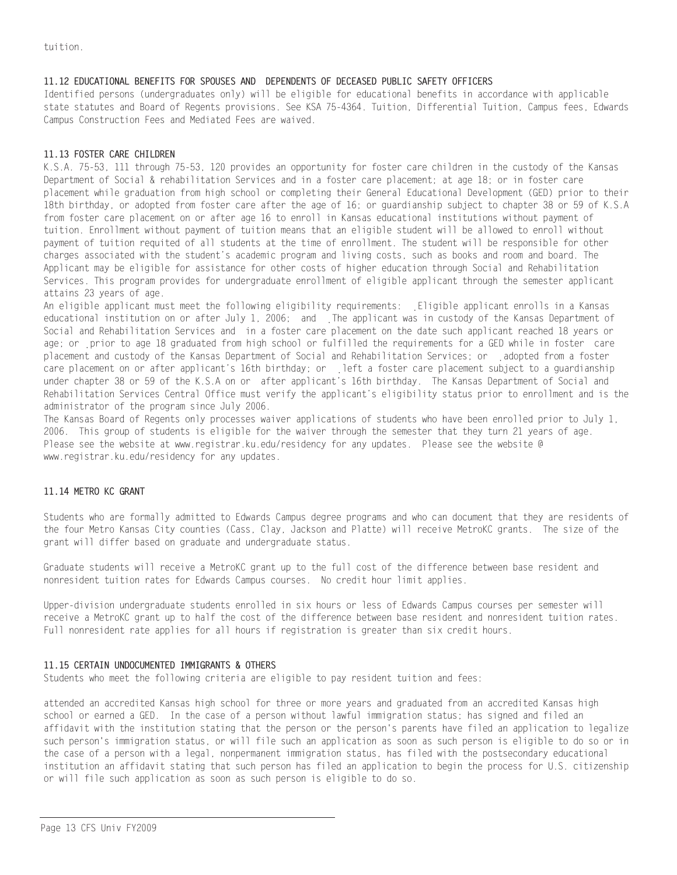# 11.12 EDUCATIONAL BENEFITS FOR SPOUSES AND DEPENDENTS OF DECEASED PUBLIC SAFETY OFFICERS

Identified persons (undergraduates only) will be eligible for educational benefits in accordance with applicable state statutes and Board of Regents provisions. See KSA 75-4364. Tuition, Differential Tuition, Campus fees, Edwards Campus Construction Fees and Mediated Fees are waived.

# 11.13 FOSTER CARE CHILDREN

K.S.A. 75-53, 111 through 75-53, 120 provides an opportunity for foster care children in the custody of the Kansas Department of Social & rehabilitation Services and in a foster care placement; at age 18; or in foster care placement while graduation from high school or completing their General Educational Development (GED) prior to their 18th birthday, or adopted from foster care after the age of 16; or guardianship subject to chapter 38 or 59 of K.S.A from foster care placement on or after age 16 to enroll in Kansas educational institutions without payment of tuition. Enrollment without payment of tuition means that an eligible student will be allowed to enroll without payment of tuition requited of all students at the time of enrollment. The student will be responsible for other charges associated with the student's academic program and living costs, such as books and room and board. The Applicant may be eligible for assistance for other costs of higher education through Social and Rehabilitation Services. This program provides for undergraduate enrollment of eligible applicant through the semester applicant attains 23 years of age.

An eligible applicant must meet the following eligibility requirements: Eligible applicant enrolls in a Kansas educational institution on or after July 1, 2006; and The applicant was in custody of the Kansas Department of Social and Rehabilitation Services and in a foster care placement on the date such applicant reached 18 years or age; or prior to age 18 graduated from high school or fulfilled the requirements for a GED while in foster care placement and custody of the Kansas Department of Social and Rehabilitation Services; or adopted from a foster care placement on or after applicant's 16th birthday; or left a foster care placement subject to a guardianship under chapter 38 or 59 of the K.S.A on or after applicant's 16th birthday. The Kansas Department of Social and Rehabilitation Services Central Office must verify the applicant's eligibility status prior to enrollment and is the administrator of the program since July 2006.

The Kansas Board of Regents only processes waiver applications of students who have been enrolled prior to July 1, 2006. This group of students is eligible for the waiver through the semester that they turn 21 years of age. Please see the website at www.registrar.ku.edu/residency for any updates. Please see the website @ www.registrar.ku.edu/residency for any updates.

# 11.14 METRO KC GRANT

Students who are formally admitted to Edwards Campus degree programs and who can document that they are residents of the four Metro Kansas City counties (Cass, Clay, Jackson and Platte) will receive MetroKC grants. The size of the grant will differ based on graduate and undergraduate status.

Graduate students will receive a MetroKC grant up to the full cost of the difference between base resident and nonresident tuition rates for Edwards Campus courses. No credit hour limit applies.

Upper-division undergraduate students enrolled in six hours or less of Edwards Campus courses per semester will receive a MetroKC grant up to half the cost of the difference between base resident and nonresident tuition rates. Full nonresident rate applies for all hours if registration is greater than six credit hours.

# 11.15 CERTAIN UNDOCUMENTED IMMIGRANTS & OTHERS

Students who meet the following criteria are eligible to pay resident tuition and fees:

attended an accredited Kansas high school for three or more years and graduated from an accredited Kansas high school or earned a GED. In the case of a person without lawful immigration status; has signed and filed an affidavit with the institution stating that the person or the person's parents have filed an application to legalize such person's immigration status, or will file such an application as soon as such person is eligible to do so or in the case of a person with a legal, nonpermanent immigration status, has filed with the postsecondary educational institution an affidavit stating that such person has filed an application to begin the process for U.S. citizenship or will file such application as soon as such person is eligible to do so.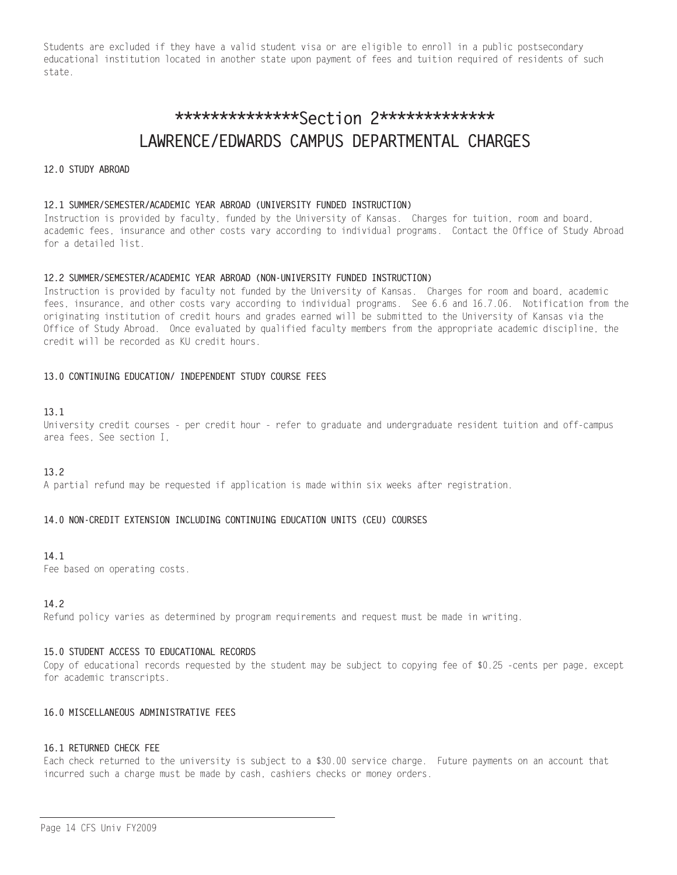Students are excluded if they have a valid student visa or are eligible to enroll in a public postsecondary educational institution located in another state upon payment of fees and tuition required of residents of such state.

# \*\*\*\*\*\*\*\*\*\*\*\*\*\*\*Section 2\*\*\*\*\*\*\*\*\*\*\*\*\* LAWRENCE/EDWARDS CAMPUS DEPARTMENTAL CHARGES

## 12.0 STUDY ABROAD

## 12.1 SUMMER/SEMESTER/ACADEMIC YEAR ABROAD (UNIVERSITY FUNDED INSTRUCTION)

Instruction is provided by faculty, funded by the University of Kansas. Charges for tuition, room and board, academic fees, insurance and other costs vary according to individual programs. Contact the Office of Study Abroad for a detailed list.

## 12.2 SUMMER/SEMESTER/ACADEMIC YEAR ABROAD (NON-UNIVERSITY FUNDED INSTRUCTION)

Instruction is provided by faculty not funded by the University of Kansas. Charges for room and board, academic fees, insurance, and other costs vary according to individual programs. See 6.6 and 16.7.06. Notification from the originating institution of credit hours and grades earned will be submitted to the University of Kansas via the Office of Study Abroad. Once evaluated by qualified faculty members from the appropriate academic discipline, the credit will be recorded as KU credit hours.

## 13.0 CONTINUING EDUCATION/ INDEPENDENT STUDY COURSE FEES

## $13.1$

University credit courses - per credit hour - refer to graduate and undergraduate resident tuition and off-campus area fees, See section I,

# $13.2$

A partial refund may be requested if application is made within six weeks after registration.

# 14.0 NON-CREDIT EXTENSION INCLUDING CONTINUING EDUCATION UNITS (CEU) COURSES

#### $14<sub>1</sub>$

Fee based on operating costs.

#### 14.2

Refund policy varies as determined by program requirements and request must be made in writing.

#### 15.0 STUDENT ACCESS TO EDUCATIONAL RECORDS

Copy of educational records requested by the student may be subject to copying fee of \$0.25 -cents per page, except for academic transcripts.

## 16.0 MISCELLANEOUS ADMINISTRATIVE FEES

## 16.1 RETURNED CHECK FEE

Each check returned to the university is subject to a \$30.00 service charge. Future payments on an account that incurred such a charge must be made by cash, cashiers checks or money orders.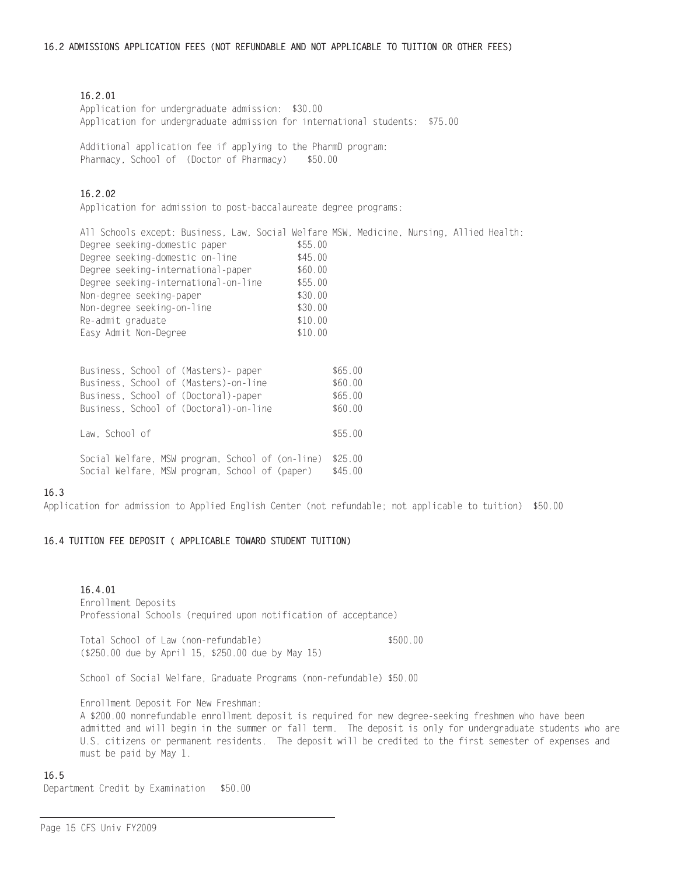## 16.2.01

Application for undergraduate admission: \$30.00 Application for undergraduate admission for international students: \$75.00

Additional application fee if applying to the PharmD program: Pharmacy, School of (Doctor of Pharmacy) \$50.00

# $16.2.02$

Application for admission to post-baccalaureate degree programs:

All Schools except: Business, Law, Social Welfare MSW, Medicine, Nursing, Allied Health: Degree seeking-domestic paper \$55.00 \$45.00 Degree seeking-domestic on-line Degree seeking-international-paper \$60.00 Degree seeking-international-paper \$60.00<br>Degree seeking-international-on-line \$55.00 Non-degree seeking-paper  $$30.00$ Non-degree seeking-on-line  $$30.00$  $$10.00$ Re-admit graduate Easy Admit Non-Degree  $$10.00$ 

| Business, School of (Masters)- paper             | \$65.00 |
|--------------------------------------------------|---------|
| Business, School of (Masters)-on-line            | \$60.00 |
| Business, School of (Doctoral)-paper             | \$65.00 |
| Business, School of (Doctoral)-on-line           | \$60.00 |
|                                                  |         |
| Law, School of                                   | \$55.00 |
|                                                  |         |
| Social Welfare, MSW program, School of (on-line) | \$25.00 |
| Social Welfare, MSW program, School of (paper)   | \$45.00 |

#### 16.3

Application for admission to Applied English Center (not refundable; not applicable to tuition) \$50.00

# 16.4 TUITION FEE DEPOSIT ( APPLICABLE TOWARD STUDENT TUITION)

# 16.4.01 Enrollment Deposits Professional Schools (required upon notification of acceptance)

Total School of Law (non-refundable) \$500.00 (\$250.00 due by April 15, \$250.00 due by May 15)

School of Social Welfare, Graduate Programs (non-refundable) \$50.00

Enrollment Deposit For New Freshman:

A \$200.00 nonrefundable enrollment deposit is required for new degree-seeking freshmen who have been admitted and will begin in the summer or fall term. The deposit is only for undergraduate students who are U.S. citizens or permanent residents. The deposit will be credited to the first semester of expenses and must be paid by May 1.

#### 16.5

Department Credit by Examination \$50.00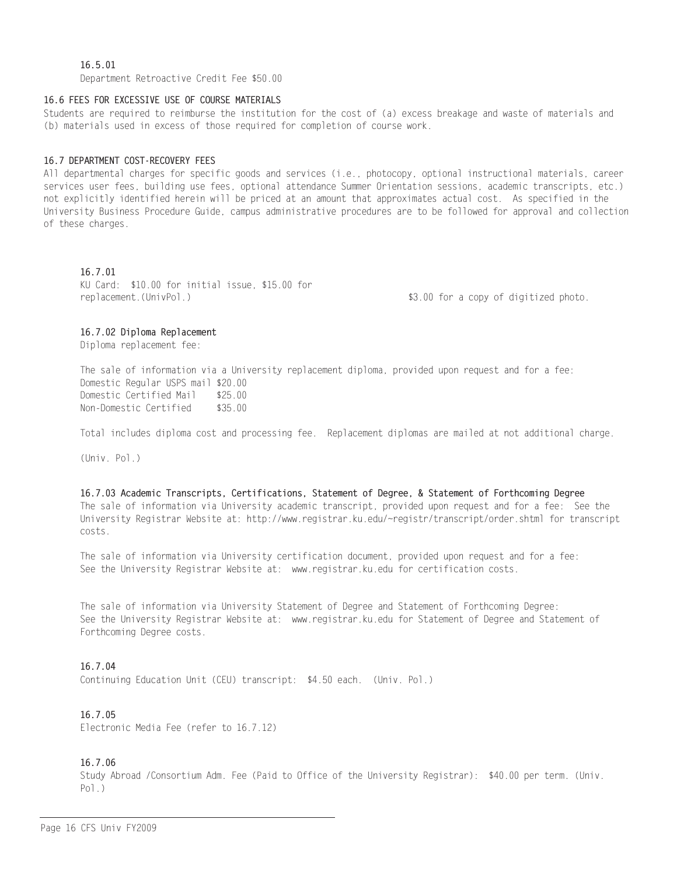# $16.5.01$

Department Retroactive Credit Fee \$50.00

## 16.6 FEES FOR EXCESSIVE USE OF COURSE MATERIALS

Students are required to reimburse the institution for the cost of (a) excess breakage and waste of materials and (b) materials used in excess of those required for completion of course work.

## 16.7 DEPARTMENT COST-RECOVERY FEES

All departmental charges for specific goods and services (i.e., photocopy, optional instructional materials, career services user fees, building use fees, optional attendance Summer Orientation sessions, academic transcripts, etc.) not explicitly identified herein will be priced at an amount that approximates actual cost. As specified in the University Business Procedure Guide, campus administrative procedures are to be followed for approval and collection of these charges.

## 16.7.01

KU Card: \$10.00 for initial issue, \$15.00 for replacement. (UnivPol.)

\$3.00 for a copy of digitized photo.

#### 16.7.02 Diploma Replacement

Diploma replacement fee:

The sale of information via a University replacement diploma, provided upon request and for a fee: Domestic Regular USPS mail \$20.00 Domestic Certified Mail  $$25.00$ Non-Domestic Certified \$35.00

Total includes diploma cost and processing fee. Replacement diplomas are mailed at not additional charge.

 $(Univ. Pol.)$ 

16.7.03 Academic Transcripts, Certifications, Statement of Degree, & Statement of Forthcoming Degree The sale of information via University academic transcript, provided upon request and for a fee: See the University Registrar Website at: http://www.registrar.ku.edu/~registr/transcript/order.shtml for transcript costs.

The sale of information via University certification document, provided upon request and for a fee: See the University Registrar Website at: www.registrar.ku.edu for certification costs.

The sale of information via University Statement of Degree and Statement of Forthcoming Degree: See the University Registrar Website at: www.registrar.ku.edu for Statement of Degree and Statement of Forthcoming Degree costs.

#### 16.7.04

Continuing Education Unit (CEU) transcript: \$4.50 each. (Univ. Pol.)

#### 16 7 05

Electronic Media Fee (refer to 16.7.12)

# 16.7.06

Study Abroad /Consortium Adm. Fee (Paid to Office of the University Registrar): \$40.00 per term. (Univ.  $Po1.$ )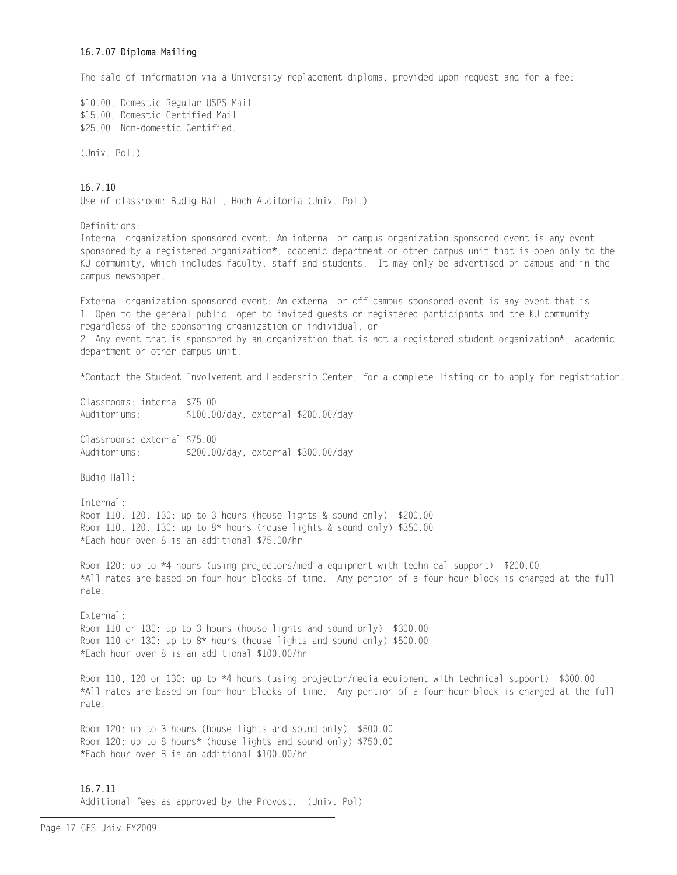# 16.7.07 Diploma Mailing

The sale of information via a University replacement diploma, provided upon request and for a fee:

\$10.00, Domestic Regular USPS Mail \$15.00, Domestic Certified Mail \$25.00 Non-domestic Certified.

(Univ. Pol.)

# $16.7.10$

Use of classroom: Budig Hall, Hoch Auditoria (Univ. Pol.)

Definitions:

Internal-organization sponsored event: An internal or campus organization sponsored event is any event sponsored by a registered organization\*, academic department or other campus unit that is open only to the KU community, which includes faculty, staff and students. It may only be advertised on campus and in the campus newspaper.

External-organization sponsored event: An external or off-campus sponsored event is any event that is: 1. Open to the general public, open to invited guests or registered participants and the KU community, regardless of the sponsoring organization or individual, or 2. Any event that is sponsored by an organization that is not a registered student organization\*, academic department or other campus unit.

\*Contact the Student Involvement and Leadership Center, for a complete listing or to apply for registration.

Classrooms: internal \$75.00 Auditoriums: \$100.00/day, external \$200.00/day

Classrooms: external \$75.00 Auditoriums: \$200.00/day, external \$300.00/day

Budig Hall:

Internal: Room 110, 120, 130: up to 3 hours (house lights & sound only) \$200.00 Room 110, 120, 130: up to 8\* hours (house lights & sound only) \$350.00 \*Each hour over 8 is an additional \$75,00/hr

Room 120: up to \*4 hours (using projectors/media equipment with technical support) \$200.00 \*All rates are based on four-hour blocks of time. Any portion of a four-hour block is charged at the full rate.

External: Room 110 or 130: up to 3 hours (house lights and sound only) \$300.00 Room 110 or 130: up to 8\* hours (house lights and sound only) \$500.00 \*Each hour over 8 is an additional \$100.00/hr

Room 110, 120 or 130: up to \*4 hours (using projector/media equipment with technical support) \$300.00 \*All rates are based on four-hour blocks of time. Any portion of a four-hour block is charged at the full rate.

Room 120: up to 3 hours (house lights and sound only) \$500.00 Room 120: up to 8 hours\* (house lights and sound only) \$750.00 \*Each hour over 8 is an additional \$100.00/hr

16.7.11 Additional fees as approved by the Provost. (Univ. Pol)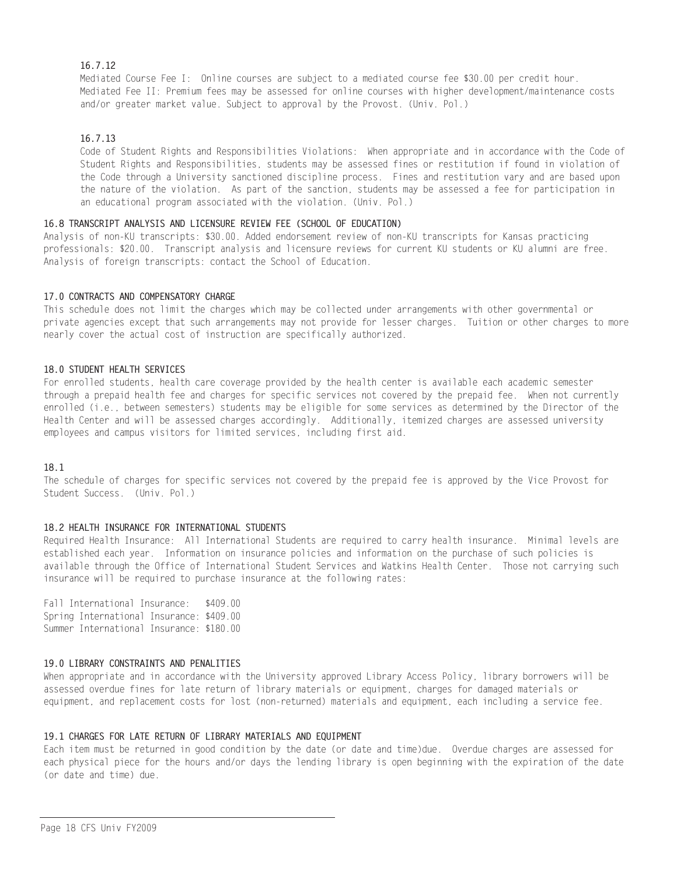# 16.7.12

Mediated Course Fee I: Online courses are subject to a mediated course fee \$30.00 per credit hour. Mediated Fee II: Premium fees may be assessed for online courses with higher development/maintenance costs and/or greater market value. Subject to approval by the Provost. (Univ. Pol.)

# 16.7.13

Code of Student Rights and Responsibilities Violations: When appropriate and in accordance with the Code of Student Rights and Responsibilities, students may be assessed fines or restitution if found in violation of the Code through a University sanctioned discipline process. Fines and restitution vary and are based upon the nature of the violation. As part of the sanction, students may be assessed a fee for participation in an educational program associated with the violation. (Univ. Pol.)

# 16.8 TRANSCRIPT ANALYSIS AND LICENSURE REVIEW FEE (SCHOOL OF EDUCATION)

Analysis of non-KU transcripts: \$30.00. Added endorsement review of non-KU transcripts for Kansas practicing professionals: \$20.00. Transcript analysis and licensure reviews for current KU students or KU alumni are free. Analysis of foreign transcripts: contact the School of Education.

# 17.0 CONTRACTS AND COMPENSATORY CHARGE

This schedule does not limit the charges which may be collected under arrangements with other governmental or private agencies except that such arrangements may not provide for lesser charges. Tuition or other charges to more nearly cover the actual cost of instruction are specifically authorized.

## 18.0 STUDENT HEALTH SERVICES

For enrolled students, health care coverage provided by the health center is available each academic semester through a prepaid health fee and charges for specific services not covered by the prepaid fee. When not currently enrolled (i.e., between semesters) students may be eligible for some services as determined by the Director of the Health Center and will be assessed charges accordingly. Additionally, itemized charges are assessed university employees and campus visitors for limited services, including first aid.

# 18.1

The schedule of charges for specific services not covered by the prepaid fee is approved by the Vice Provost for Student Success. (Univ. Pol.)

# 18.2 HEALTH INSURANCE FOR INTERNATIONAL STUDENTS

Required Health Insurance: All International Students are required to carry health insurance. Minimal levels are established each year. Information on insurance policies and information on the purchase of such policies is available through the Office of International Student Services and Watkins Health Center. Those not carrying such insurance will be required to purchase insurance at the following rates:

Fall International Insurance: \$409.00 Spring International Insurance: \$409.00 Summer International Insurance: \$180.00

# 19.0 LIBRARY CONSTRAINTS AND PENALITIES

When appropriate and in accordance with the University approved Library Access Policy. library borrowers will be assessed overdue fines for late return of library materials or equipment, charges for damaged materials or equipment, and replacement costs for lost (non-returned) materials and equipment, each including a service fee.

# 19.1 CHARGES FOR LATE RETURN OF LIBRARY MATERIALS AND EQUIPMENT

Each item must be returned in good condition by the date (or date and time)due. Overdue charges are assessed for each physical piece for the hours and/or days the lending library is open beginning with the expiration of the date (or date and time) due.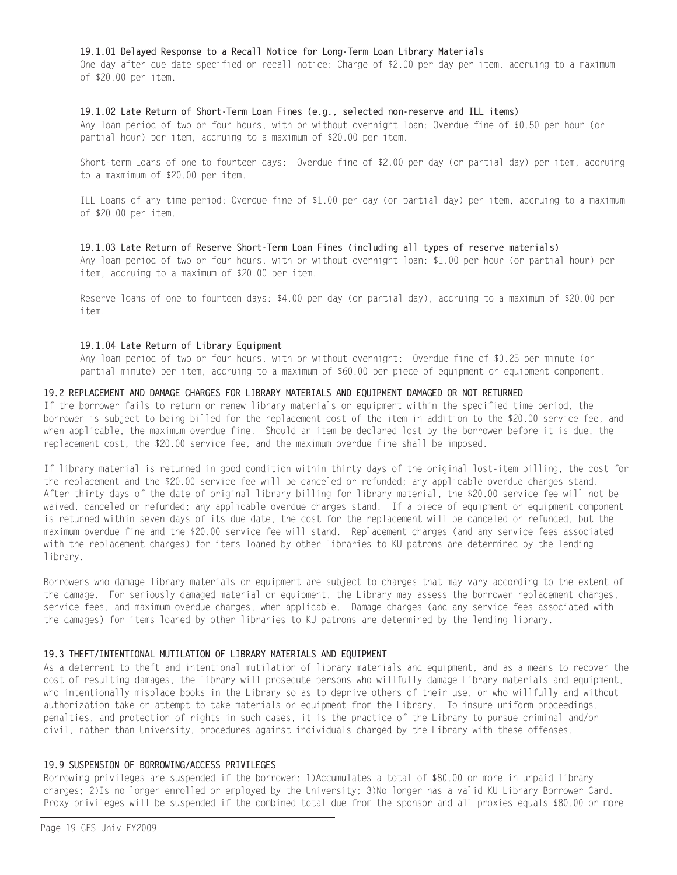## 19.1.01 Delayed Response to a Recall Notice for Long-Term Loan Library Materials

One day after due date specified on recall notice: Charge of \$2.00 per day per item, accruing to a maximum of \$20.00 per item.

#### 19.1.02 Late Return of Short-Term Loan Fines (e.g., selected non-reserve and ILL items)

Any loan period of two or four hours, with or without overnight loan: Overdue fine of \$0.50 per hour (or partial hour) per item, accruing to a maximum of \$20.00 per item.

Short-term Loans of one to fourteen days: Overdue fine of \$2.00 per day (or partial day) per item, accruing to a maxmimum of \$20.00 per item.

ILL Loans of any time period: Overdue fine of \$1.00 per day (or partial day) per item, accruing to a maximum of \$20.00 per item.

#### 19.1.03 Late Return of Reserve Short-Term Loan Fines (including all types of reserve materials)

Any loan period of two or four hours, with or without overnight loan: \$1.00 per hour (or partial hour) per item, accruing to a maximum of \$20.00 per item.

Reserve loans of one to fourteen days: \$4.00 per day (or partial day), accruing to a maximum of \$20.00 per item.

#### 19.1.04 Late Return of Library Equipment

Any loan period of two or four hours, with or without overnight: Overdue fine of \$0.25 per minute (or partial minute) per item, accruing to a maximum of \$60.00 per piece of equipment or equipment component.

#### 19.2 REPLACEMENT AND DAMAGE CHARGES FOR LIBRARY MATERIALS AND EQUIPMENT DAMAGED OR NOT RETURNED

If the borrower fails to return or renew library materials or equipment within the specified time period, the borrower is subject to being billed for the replacement cost of the item in addition to the \$20.00 service fee, and when applicable, the maximum overdue fine. Should an item be declared lost by the borrower before it is due, the replacement cost, the \$20.00 service fee, and the maximum overdue fine shall be imposed.

If library material is returned in good condition within thirty days of the original lost-item billing, the cost for the replacement and the \$20.00 service fee will be canceled or refunded; any applicable overdue charges stand. After thirty days of the date of original library billing for library material, the \$20,00 service fee will not be waived, canceled or refunded; any applicable overdue charges stand. If a piece of equipment or equipment component is returned within seven days of its due date, the cost for the replacement will be canceled or refunded, but the maximum overdue fine and the \$20.00 service fee will stand. Replacement charges (and any service fees associated with the replacement charges) for items loaned by other libraries to KU patrons are determined by the lending library.

Borrowers who damage library materials or equipment are subject to charges that may vary according to the extent of the damage. For seriously damaged material or equipment, the Library may assess the borrower replacement charges, service fees, and maximum overdue charges, when applicable. Damage charges (and any service fees associated with the damages) for items loaned by other libraries to KU patrons are determined by the lending library.

#### 19.3 THEFT/INTENTIONAL MUTILATION OF LIBRARY MATERIALS AND EQUIPMENT

As a deterrent to theft and intentional mutilation of library materials and equipment, and as a means to recover the cost of resulting damages, the library will prosecute persons who willfully damage Library materials and equipment, who intentionally misplace books in the Library so as to deprive others of their use, or who willfully and without authorization take or attempt to take materials or equipment from the Library. To insure uniform proceedings, penalties, and protection of rights in such cases, it is the practice of the Library to pursue criminal and/or civil, rather than University, procedures against individuals charged by the Library with these offenses.

## 19.9 SUSPENSION OF BORROWING/ACCESS PRIVILEGES

Borrowing privileges are suspended if the borrower: 1)Accumulates a total of \$80.00 or more in unpaid library charges; 2) Is no longer enrolled or employed by the University; 3) No longer has a valid KU Library Borrower Card. Proxy privileges will be suspended if the combined total due from the sponsor and all proxies equals \$80.00 or more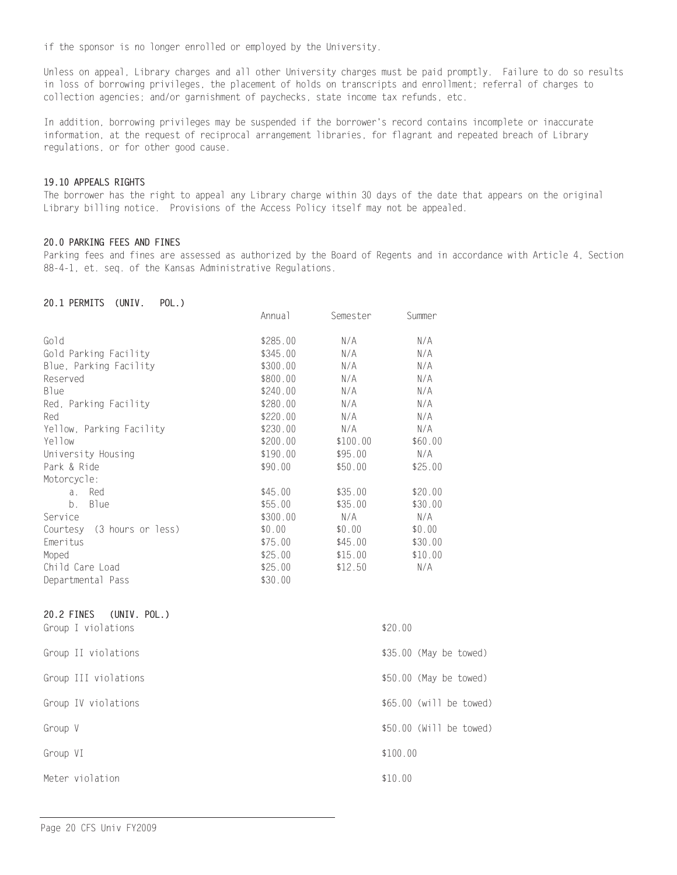if the sponsor is no longer enrolled or employed by the University.

Unless on appeal, Library charges and all other University charges must be paid promptly. Failure to do so results in loss of borrowing privileges, the placement of holds on transcripts and enrollment; referral of charges to collection agencies; and/or garnishment of paychecks, state income tax refunds, etc.

In addition, borrowing privileges may be suspended if the borrower's record contains incomplete or inaccurate information, at the request of reciprocal arrangement libraries, for flagrant and repeated breach of Library regulations, or for other good cause.

## 19.10 APPEALS RIGHTS

The borrower has the right to appeal any Library charge within 30 days of the date that appears on the original Library billing notice. Provisions of the Access Policy itself may not be appealed.

## 20.0 PARKING FEES AND FINES

Parking fees and fines are assessed as authorized by the Board of Regents and in accordance with Article 4, Section 88-4-1, et. seq. of the Kansas Administrative Regulations.

### 20.1 PERMITS (UNIV. POL.)

|                               | Annua <sub>1</sub> | Semester | Summer  |
|-------------------------------|--------------------|----------|---------|
| Gold                          | \$285.00           | N/A      | N/A     |
| Gold Parking Facility         | \$345.00           | N/A      | N/A     |
| Blue, Parking Facility        | \$300.00           | N/A      | N/A     |
| Reserved                      | \$800.00           | N/A      | N/A     |
| <b>B</b> lue                  | \$240.00           | N/A      | N/A     |
| Red, Parking Facility         | \$280.00           | N/A      | N/A     |
| Red                           | \$220.00           | N/A      | N/A     |
| Yellow, Parking Facility      | \$230.00           | N/A      | N/A     |
| Yellow                        | \$200.00           | \$100.00 | \$60.00 |
| University Housing            | \$190.00           | \$95.00  | N/A     |
| Park & Ride                   | \$90.00            | \$50.00  | \$25.00 |
| Motorcycle:                   |                    |          |         |
| Red<br>$\partial$ .           | \$45.00            | \$35.00  | \$20.00 |
| b <sub>1</sub><br><b>Blue</b> | \$55.00            | \$35.00  | \$30.00 |
| Service                       | \$300.00           | N/A      | N/A     |
| Courtesy (3 hours or less)    | \$0.00             | \$0.00   | \$0.00  |
| Emeritus                      | \$75.00            | \$45.00  | \$30.00 |
| Moped                         | \$25.00            | \$15.00  | \$10.00 |
| Child Care Load               | \$25.00            | \$12.50  | N/A     |
| Departmental Pass             | \$30.00            |          |         |
| 20.2 FINES<br>(UNIV. POL.)    |                    |          |         |
| Group I violations            |                    |          | \$20.00 |

| Group II violations  | $$35.00$ (May be towed)  |
|----------------------|--------------------------|
| Group III violations | $$50.00$ (May be towed)  |
| Group IV violations  | $$65.00$ (will be towed) |
| Group V              | \$50.00 (Will be towed)  |
| Group VI             | \$100.00                 |
| Meter violation      | \$10.00                  |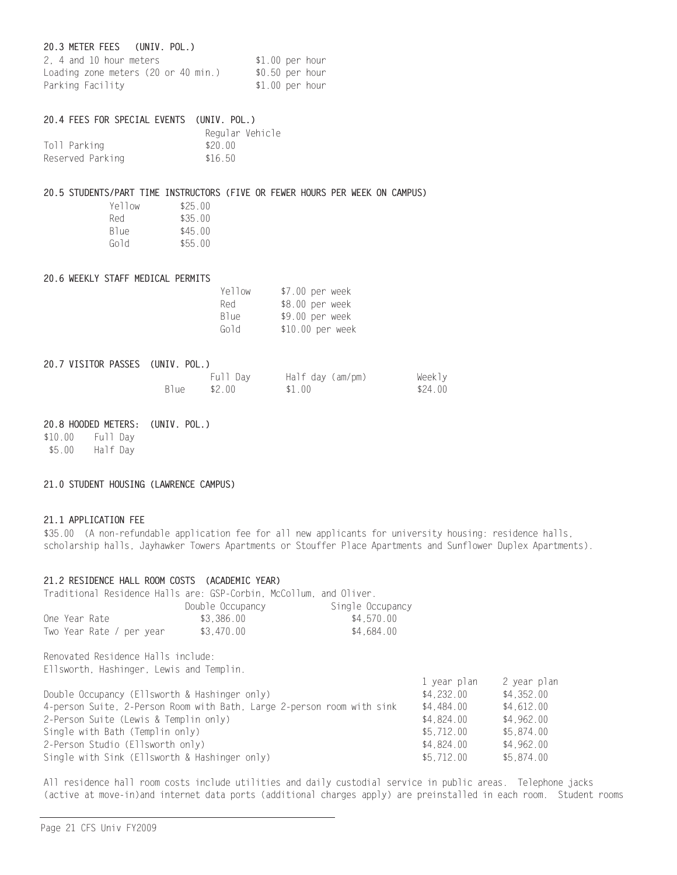# 20.3 METER FEES (UNIV. POL.)

| 2. 4 and 10 hour meters             | $$1.00$ per hour |  |
|-------------------------------------|------------------|--|
| Loading zone meters (20 or 40 min.) | \$0.50 per hour  |  |
| Parking Facility                    | $$1.00$ per hour |  |

## 20.4 FEES FOR SPECIAL EVENTS (UNIV. POL.)

|                  |         | Regular Vehicle |
|------------------|---------|-----------------|
| Toll Parking     | \$20.00 |                 |
| Reserved Parking | \$16.50 |                 |

#### 20.5 STUDENTS/PART TIME INSTRUCTORS (FIVE OR FEWER HOURS PER WEEK ON CAMPUS)

| Yellow | \$25.00 |
|--------|---------|
| Red    | \$35.00 |
| Blue   | \$45.00 |
| Gold   | \$55.00 |

#### 20.6 WEEKLY STAFF MEDICAL PERMITS

| Yellow           | \$7.00 per week  |
|------------------|------------------|
| Red              | \$8.00 per week  |
| B <sub>lue</sub> | \$9.00 per week  |
| Gold             | \$10.00 per week |

## 20.7 VISITOR PASSES (UNIV. POL.)

|        | Full Day | Half day (am/pm) | Weekly  |
|--------|----------|------------------|---------|
| Blue - | \$2.00   | \$1.00           | \$24.00 |

#### 20.8 HOODED METERS: (UNIV. POL.)

\$10.00 Full Day \$5.00 Half Day

#### 21.0 STUDENT HOUSING (LAWRENCE CAMPUS)

# 21.1 APPLICATION FEE

\$35.00 (A non-refundable application fee for all new applicants for university housing: residence halls, scholarship halls, Jayhawker Towers Apartments or Stouffer Place Apartments and Sunflower Duplex Apartments).

# 21.2 RESIDENCE HALL ROOM COSTS (ACADEMIC YEAR)

Traditional Residence Halls are: GSP-Corbin, McCollum, and Oliver.

|                          | Double Occupancy | Single Occupancy |
|--------------------------|------------------|------------------|
| One Year Rate            | \$3.386.00       | \$4.570.00       |
| Two Year Rate / per year | \$3.470.00       | \$4.684.00       |

Renovated Residence Halls include: Ellsworth, Hashinger, Lewis and Templin.

|                                                                        | l year pian | z year pian |
|------------------------------------------------------------------------|-------------|-------------|
| Double Occupancy (Ellsworth & Hashinger only)                          | \$4,232,00  | \$4,352.00  |
| 4-person Suite, 2-Person Room with Bath, Large 2-person room with sink | \$4,484,00  | \$4,612.00  |
| 2-Person Suite (Lewis & Templin only)                                  | \$4,824,00  | \$4.962.00  |
| Single with Bath (Templin only)                                        | \$5.712.00  | \$5.874.00  |
| 2-Person Studio (Ellsworth only)                                       | \$4,824,00  | \$4,962,00  |
| Single with Sink (Ellsworth & Hashinger only)                          | \$5.712.00  | \$5.874.00  |

All residence hall room costs include utilities and daily custodial service in public areas. Telephone jacks (active at move-in)and internet data ports (additional charges apply) are preinstalled in each room. Student rooms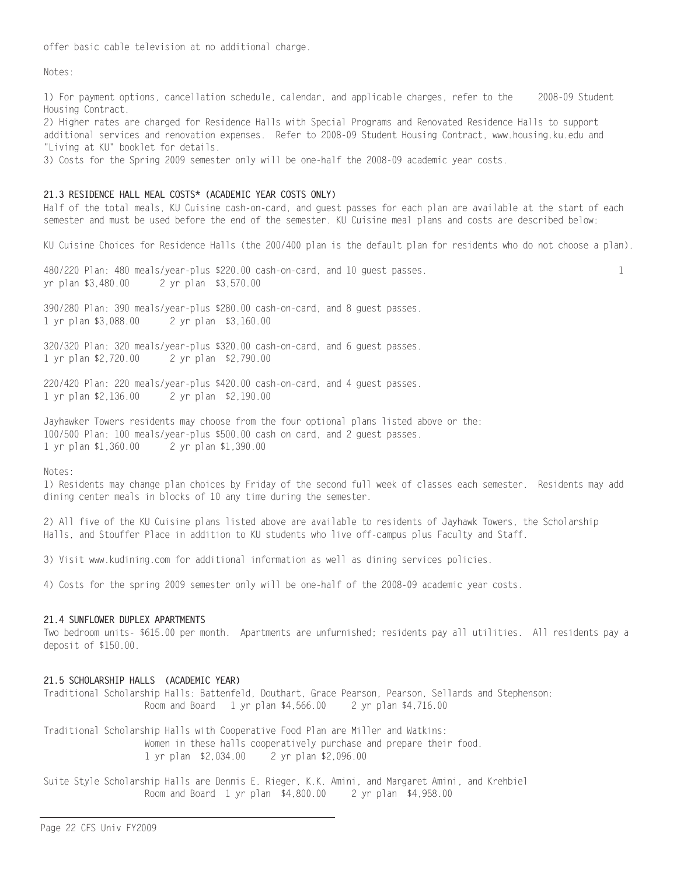offer basic cable television at no additional charge.

Notes ·

1) For payment options, cancellation schedule, calendar, and applicable charges, refer to the 2008-09 Student Housing Contract.

2) Higher rates are charged for Residence Halls with Special Programs and Renovated Residence Halls to support additional services and renovation expenses. Refer to 2008-09 Student Housing Contract, www.housing.ku.edu and "Living at KU" booklet for details.

3) Costs for the Spring 2009 semester only will be one-half the 2008-09 academic year costs.

# 21.3 RESIDENCE HALL MEAL COSTS\* (ACADEMIC YEAR COSTS ONLY)

Half of the total meals, KU Cuisine cash-on-card, and guest passes for each plan are available at the start of each semester and must be used before the end of the semester. KU Cuisine meal plans and costs are described below:

KU Cuisine Choices for Residence Halls (the 200/400 plan is the default plan for residents who do not choose a plan).

480/220 Plan: 480 meals/year-plus \$220.00 cash-on-card, and 10 guest passes. yr plan \$3.480.00 2 yr plan \$3,570.00

1

390/280 Plan: 390 meals/year-plus \$280.00 cash-on-card, and 8 guest passes. 1 yr plan \$3,088.00 2 yr plan \$3,160.00

320/320 Plan: 320 meals/year-plus \$320.00 cash-on-card, and 6 guest passes. 1 yr plan \$2,720.00 2 yr plan \$2,790.00

220/420 Plan: 220 meals/year-plus \$420.00 cash-on-card, and 4 guest passes. 1 yr plan \$2,136.00 2 yr plan \$2,190.00

Jayhawker Towers residents may choose from the four optional plans listed above or the: 100/500 Plan: 100 meals/year-plus \$500.00 cash on card, and 2 guest passes. 1 yr plan \$1.360.00 2 yr plan \$1,390.00

Notes:

1) Residents may change plan choices by Friday of the second full week of classes each semester. Residents may add dining center meals in blocks of 10 any time during the semester.

2) All five of the KU Cuisine plans listed above are available to residents of Jayhawk Towers, the Scholarship Halls, and Stouffer Place in addition to KU students who live off-campus plus Faculty and Staff.

3) Visit www.kudining.com for additional information as well as dining services policies.

4) Costs for the spring 2009 semester only will be one-half of the 2008-09 academic year costs.

# 21.4 SUNFLOWER DUPLEX APARTMENTS

Two bedroom units- \$615.00 per month. Apartments are unfurnished; residents pay all utilities. All residents pay a deposit of \$150.00.

## 21.5 SCHOLARSHIP HALLS (ACADEMIC YEAR)

Traditional Scholarship Halls: Battenfeld, Douthart, Grace Pearson, Pearson, Sellards and Stephenson: Room and Board 1 yr plan \$4,566.00 2 yr plan \$4,716.00

Traditional Scholarship Halls with Cooperative Food Plan are Miller and Watkins: Women in these halls cooperatively purchase and prepare their food. 2 yr plan \$2,096.00 1 yr plan \$2,034.00

Suite Style Scholarship Halls are Dennis E. Rieger, K.K. Amini, and Margaret Amini, and Krehbiel Room and Board 1 yr plan \$4,800.00 2 yr plan \$4,958.00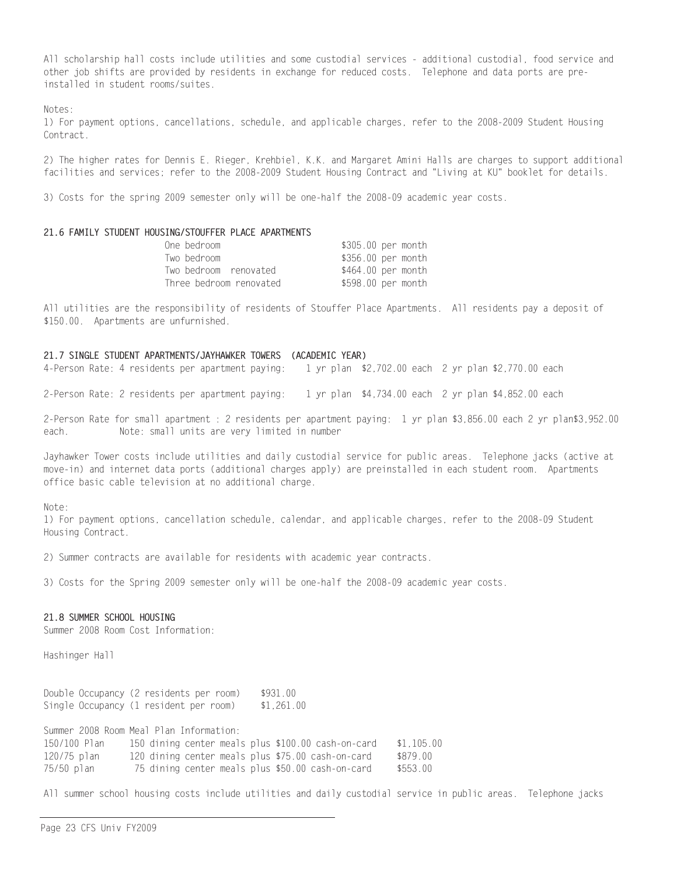All scholarship hall costs include utilities and some custodial services - additional custodial, food service and other job shifts are provided by residents in exchange for reduced costs. Telephone and data ports are preinstalled in student rooms/suites.

 $N \cap \neg \neg \neg$ 

1) For payment options, cancellations, schedule, and applicable charges, refer to the 2008-2009 Student Housing Contract.

2) The higher rates for Dennis E. Rieger, Krehbiel, K.K. and Margaret Amini Halls are charges to support additional facilities and services; refer to the 2008-2009 Student Housing Contract and "Living at KU" booklet for details.

3) Costs for the spring 2009 semester only will be one-half the 2008-09 academic year costs.

#### 21.6 FAMILY STUDENT HOUSING/STOUFFER PLACE APARTMENTS

| One bedroom             | \$305.00 per month |  |
|-------------------------|--------------------|--|
| Two bedroom             | \$356.00 per month |  |
| Two bedroom renovated   | \$464.00 per month |  |
| Three bedroom renovated | \$598.00 per month |  |

All utilities are the responsibility of residents of Stouffer Place Apartments. All residents pay a deposit of \$150.00. Apartments are unfurnished.

#### 21.7 SINGLE STUDENT APARTMENTS/JAYHAWKER TOWERS (ACADEMIC YEAR)

4-Person Rate: 4 residents per apartment paying: 1 yr plan \$2,702.00 each 2 yr plan \$2,770.00 each

2-Person Rate: 2 residents per apartment paying: 1 yr plan \$4,734.00 each 2 yr plan \$4,852.00 each

2-Person Rate for small apartment : 2 residents per apartment paying: 1 yr plan \$3,856.00 each 2 yr plan\$3,952.00 Note: small units are very limited in number each.

Jayhawker Tower costs include utilities and daily custodial service for public areas. Telephone jacks (active at move-in) and internet data ports (additional charges apply) are preinstalled in each student room. Apartments office basic cable television at no additional charge.

Note:

1) For payment options, cancellation schedule, calendar, and applicable charges, refer to the 2008-09 Student Housing Contract.

2) Summer contracts are available for residents with academic year contracts.

3) Costs for the Spring 2009 semester only will be one-half the 2008-09 academic year costs.

## 21.8 SUMMER SCHOOL HOUSING

Summer 2008 Room Cost Information:

Hashinger Hall

Double Occupancy (2 residents per room) \$931 00 Single Occupancy (1 resident per room)  $$1,261.00$ 

Summer 2008 Room Meal Plan Information: 150/100 Plan 150 dining center meals plus \$100.00 cash-on-card  $$1,105.00$ 120 dining center meals plus \$75.00 cash-on-card \$879.00 120/75 plan 75 dining center meals plus \$50.00 cash-on-card \$553.00 75/50 plan

All summer school housing costs include utilities and daily custodial service in public areas. Telephone jacks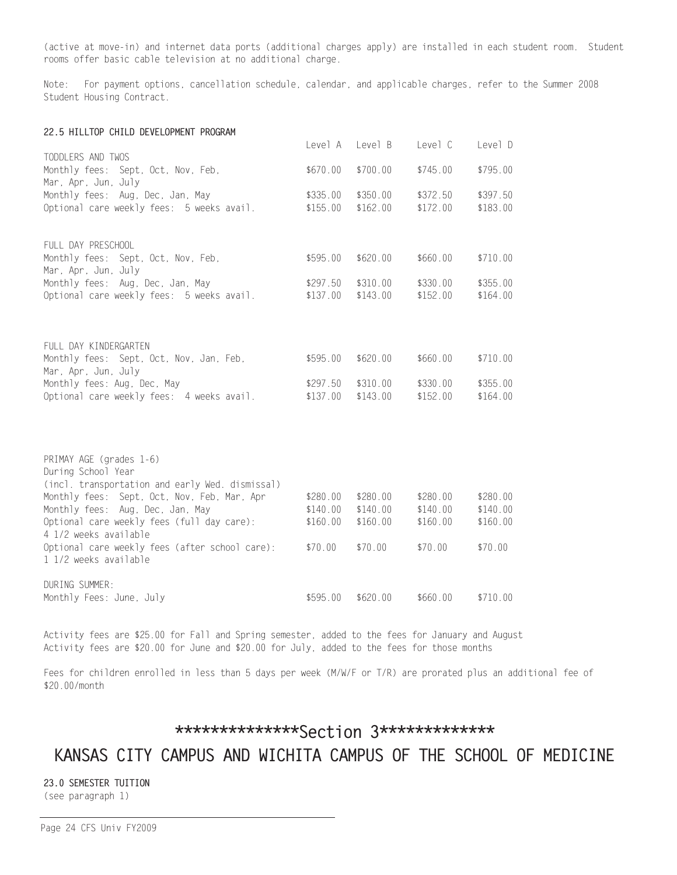(active at move-in) and internet data ports (additional charges apply) are installed in each student room. Student rooms offer basic cable television at no additional charge.

Note: For payment options, cancellation schedule, calendar, and applicable charges, refer to the Summer 2008 Student Housing Contract.

#### 22.5 HILLTOP CHILD DEVELOPMENT PROGRAM

|                                                                                | Level A              | Level B              | Level C              | Level D              |
|--------------------------------------------------------------------------------|----------------------|----------------------|----------------------|----------------------|
| TODDLERS AND TWOS<br>Monthly fees: Sept, Oct, Nov, Feb,<br>Mar, Apr, Jun, July | \$670.00             | \$700.00             | \$745.00             | \$795.00             |
| Monthly fees: Aug, Dec, Jan, May                                               | \$335.00             | \$350.00             | \$372.50             | \$397.50             |
| Optional care weekly fees: 5 weeks avail.                                      | \$155.00             | \$162.00             | \$172.00             | \$183.00             |
| FULL DAY PRESCHOOL                                                             |                      |                      |                      |                      |
| Monthly fees: Sept, Oct, Nov, Feb,<br>Mar, Apr, Jun, July                      | \$595.00             | \$620.00             | \$660.00             | \$710.00             |
| Monthly fees: Aug, Dec, Jan, May                                               | \$297.50             | \$310.00             | \$330.00             | \$355.00             |
| Optional care weekly fees: 5 weeks avail.                                      | \$137.00             | \$143.00             | \$152.00             | \$164.00             |
|                                                                                |                      |                      |                      |                      |
| FULL DAY KINDERGARTEN                                                          |                      |                      |                      |                      |
| Monthly fees: Sept, Oct, Nov, Jan, Feb,<br>Mar, Apr, Jun, July                 | \$595.00             | \$620.00             | \$660.00             | \$710.00             |
| Monthly fees: Aug, Dec, May                                                    | \$297.50             | \$310.00             | \$330.00             | \$355.00             |
| Optional care weekly fees: 4 weeks avail.                                      | \$137.00             | \$143.00             | \$152.00             | \$164.00             |
|                                                                                |                      |                      |                      |                      |
| PRIMAY AGE (grades 1-6)                                                        |                      |                      |                      |                      |
| During School Year                                                             |                      |                      |                      |                      |
| (incl. transportation and early Wed. dismissal)                                |                      |                      |                      |                      |
| Monthly fees: Sept, Oct, Nov, Feb, Mar, Apr                                    | \$280.00             | \$280.00             | \$280.00             | \$280.00             |
| Monthly fees: Aug, Dec, Jan, May<br>Optional care weekly fees (full day care): | \$140.00<br>\$160.00 | \$140.00<br>\$160.00 | \$140.00<br>\$160.00 | \$140.00<br>\$160.00 |
| 4 1/2 weeks available                                                          |                      |                      |                      |                      |
| Optional care weekly fees (after school care):<br>1 1/2 weeks available        | \$70.00              | \$70.00              | \$70.00              | \$70.00              |
|                                                                                |                      |                      |                      |                      |
| DURING SUMMER:                                                                 |                      |                      |                      |                      |
| Monthly Fees: June, July                                                       | \$595.00             | \$620.00             | \$660.00             | \$710.00             |

Activity fees are \$25.00 for Fall and Spring semester, added to the fees for January and August Activity fees are \$20.00 for June and \$20.00 for July, added to the fees for those months

Fees for children enrolled in less than 5 days per week (M/W/F or T/R) are prorated plus an additional fee of \$20.00/month

# \*\*\*\*\*\*\*\*\*\*\*\*\*\*\*Section 3\*\*\*\*\*\*\*\*\*\*\*\*\*

KANSAS CITY CAMPUS AND WICHITA CAMPUS OF THE SCHOOL OF MEDICINE

23.0 SEMESTER TUITION (see paragraph 1)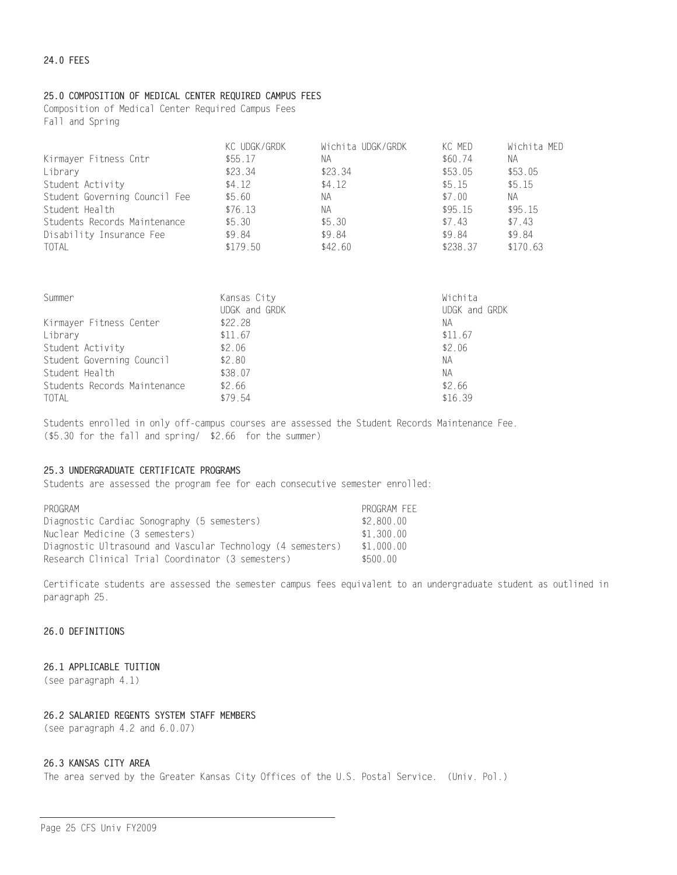# 25.0 COMPOSITION OF MEDICAL CENTER REQUIRED CAMPUS FEES

Composition of Medical Center Required Campus Fees Fall and Spring

|                               | KC UDGK/GRDK | Wichita UDGK/GRDK | KC MED   | Wichita MED |
|-------------------------------|--------------|-------------------|----------|-------------|
| Kirmayer Fitness Cntr         | \$55.17      | NА                | \$60.74  | NА          |
| Library                       | \$23.34      | \$23.34           | \$53.05  | \$53.05     |
| Student Activity              | \$4.12       | \$4.12            | \$5.15   | \$5.15      |
| Student Governing Council Fee | \$5.60       | ΝA                | \$7.00   | NA.         |
| Student Health                | \$76.13      | ΝA                | \$95.15  | \$95.15     |
| Students Records Maintenance  | \$5.30       | \$5.30            | \$7.43   | \$7.43      |
| Disability Insurance Fee      | \$9.84       | \$9.84            | \$9.84   | \$9.84      |
| TOTAL                         | \$179.50     | \$42.60           | \$238.37 | \$170.63    |

| Summer                       | Kansas City<br>UDGK and GRDK | Wichita<br>UDGK and GRDK |
|------------------------------|------------------------------|--------------------------|
| Kirmayer Fitness Center      | \$22.28                      | NА                       |
| Library                      | \$11.67                      | \$11.67                  |
| Student Activity             | \$2.06                       | \$2.06                   |
| Student Governing Council    | \$2.80                       | NА                       |
| Student Health               | \$38.07                      | NА                       |
| Students Records Maintenance | \$2.66                       | \$2.66                   |
| <b>TOTAL</b>                 | \$79.54                      | \$16.39                  |

Students enrolled in only off-campus courses are assessed the Student Records Maintenance Fee. (\$5.30 for the fall and spring/ \$2.66 for the summer)

# 25.3 UNDERGRADUATE CERTIFICATE PROGRAMS

Students are assessed the program fee for each consecutive semester enrolled:

| PROGRAM                                                     | PROGRAM FEE |
|-------------------------------------------------------------|-------------|
| Diagnostic Cardiac Sonography (5 semesters)                 | \$2.800.00  |
| Nuclear Medicine (3 semesters)                              | \$1.300.00  |
| Diagnostic Ultrasound and Vascular Technology (4 semesters) | \$1.000.00  |
| Research Clinical Trial Coordinator (3 semesters)           | \$500.00    |

Certificate students are assessed the semester campus fees equivalent to an undergraduate student as outlined in paragraph 25.

## 26.0 DEFINITIONS

## 26.1 APPLICABLE TUITION

(see paragraph 4.1)

## 26.2 SALARIED REGENTS SYSTEM STAFF MEMBERS

(see paragraph 4.2 and 6.0.07)

#### 26.3 KANSAS CITY AREA

The area served by the Greater Kansas City Offices of the U.S. Postal Service. (Univ. Pol.)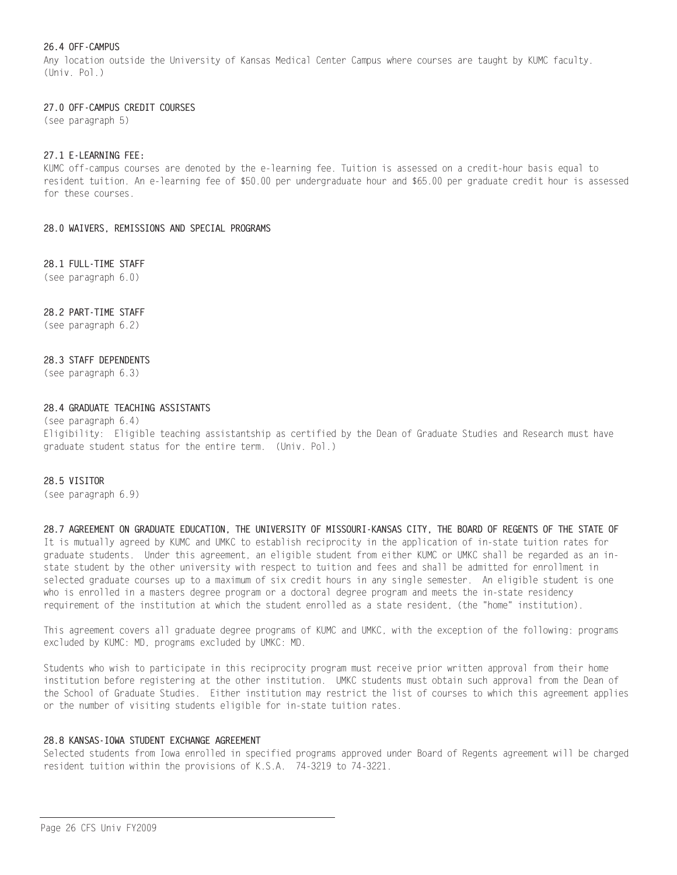# 26.4 OFF-CAMPUS

Any location outside the University of Kansas Medical Center Campus where courses are taught by KUMC faculty.  $(Univ. Pol.)$ 

# 27.0 OFF-CAMPUS CREDIT COURSES

(see paragraph 5)

## 27.1 F-I FARNING FFF:

KUMC off-campus courses are denoted by the e-learning fee. Tuition is assessed on a credit-hour basis equal to resident tuition. An e-learning fee of \$50.00 per undergraduate hour and \$65.00 per graduate credit hour is assessed for these courses.

## 28.0 WAIVERS. REMISSIONS AND SPECIAL PROGRAMS

28.1 FULL-TIME STAFF

(see paragraph 6.0)

# 28.2 PART-TIME STAFF

(see paragraph 6.2)

## 28.3 STAFF DEPENDENTS

(see paragraph 6.3)

# 28.4 GRADUATE TEACHING ASSISTANTS

 $(see paragraph 6.4)$ Eligibility: Eligible teaching assistantship as certified by the Dean of Graduate Studies and Research must have graduate student status for the entire term. (Univ. Pol.)

## 28.5 VISITOR

(see paragraph 6.9)

# 28.7 AGREEMENT ON GRADUATE EDUCATION, THE UNIVERSITY OF MISSOURI-KANSAS CITY, THE BOARD OF REGENTS OF THE STATE OF It is mutually agreed by KUMC and UMKC to establish reciprocity in the application of in-state tuition rates for graduate students. Under this agreement, an eligible student from either KUMC or UMKC shall be regarded as an instate student by the other university with respect to tuition and fees and shall be admitted for enrollment in selected graduate courses up to a maximum of six credit hours in any single semester. An eligible student is one who is enrolled in a masters degree program or a doctoral degree program and meets the in-state residency requirement of the institution at which the student enrolled as a state resident, (the "home" institution).

This agreement covers all graduate degree programs of KUMC and UMKC, with the exception of the following: programs excluded by KUMC: MD, programs excluded by UMKC: MD.

Students who wish to participate in this reciprocity program must receive prior written approval from their home institution before registering at the other institution. UMKC students must obtain such approval from the Dean of the School of Graduate Studies. Either institution may restrict the list of courses to which this agreement applies or the number of visiting students eligible for in-state tuition rates.

# 28.8 KANSAS-IOWA STUDENT EXCHANGE AGREEMENT

Selected students from Iowa enrolled in specified programs approved under Board of Regents agreement will be charged resident tuition within the provisions of K.S.A. 74-3219 to 74-3221.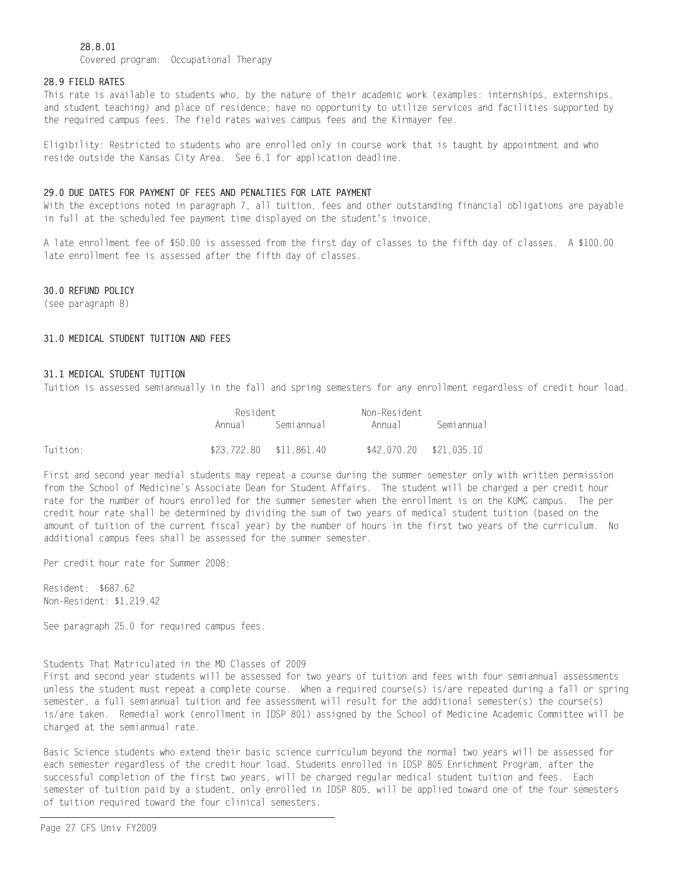# 28.8.01

Covered program: Occupational Therapy

### 28.9 FIELD RATES

This rate is available to students who, by the nature of their academic work (examples: internships, externships, and student teaching) and place of residence; have no opportunity to utilize services and facilities supported by the required campus fees. The field rates waives campus fees and the Kirmayer fee.

Eligibility: Restricted to students who are enrolled only in course work that is taught by appointment and who reside outside the Kansas City Area. See 6.1 for application deadline.

#### 29.0 DUE DATES FOR PAYMENT OF FEES AND PENALTIES FOR LATE PAYMENT

With the exceptions noted in paragraph 7, all tuition, fees and other outstanding financial obligations are payable in full at the scheduled fee payment time displayed on the student's invoice.

A late enrollment fee of \$50.00 is assessed from the first day of classes to the fifth day of classes. A \$100.00 late enrollment fee is assessed after the fifth day of classes.

## 30.0 REFUND POLICY

(see paragraph 8)

#### 31.0 MEDICAL STUDENT TUITION AND FEES

#### 31.1 MEDICAL STUDENT TUITION

Tuition is assessed semiannually in the fall and spring semesters for any enrollment regardless of credit hour load.

|          | Resident                |            | Non-Resident            |            |
|----------|-------------------------|------------|-------------------------|------------|
|          | Annua I                 | Semiannual | Annual                  | Semiannual |
| Tuition: | \$23,722.80 \$11,861.40 |            | \$42.070.20 \$21.035.10 |            |

First and second year medial students may repeat a course during the summer semester only with written permission from the School of Medicine's Associate Dean for Student Affairs. The student will be charged a per credit hour rate for the number of hours enrolled for the summer semester when the enrollment is on the KUMC campus. The per credit hour rate shall be determined by dividing the sum of two years of medical student tuition (based on the amount of tuition of the current fiscal year) by the number of hours in the first two years of the curriculum. No additional campus fees shall be assessed for the summer semester.

Per credit hour rate for Summer 2008:

Resident: \$687.62 Non-Resident: \$1,219.42

See paragraph 25.0 for required campus fees.

Students That Matriculated in the MD Classes of 2009 First and second year students will be assessed for two years of tuition and fees with four semiannual assessments unless the student must repeat a complete course. When a required course(s) is/are repeated during a fall or spring semester, a full semiannual tuition and fee assessment will result for the additional semester(s) the course(s) is/are taken. Remedial work (enrollment in IDSP 801) assigned by the School of Medicine Academic Committee will be charged at the semiannual rate.

Basic Science students who extend their basic science curriculum beyond the normal two years will be assessed for each semester regardless of the credit hour load. Students enrolled in IDSP 805 Enrichment Program, after the successful completion of the first two years, will be charged regular medical student tuition and fees. Each semester of tuition paid by a student, only enrolled in IDSP 805, will be applied toward one of the four semesters of tuition required toward the four clinical semesters.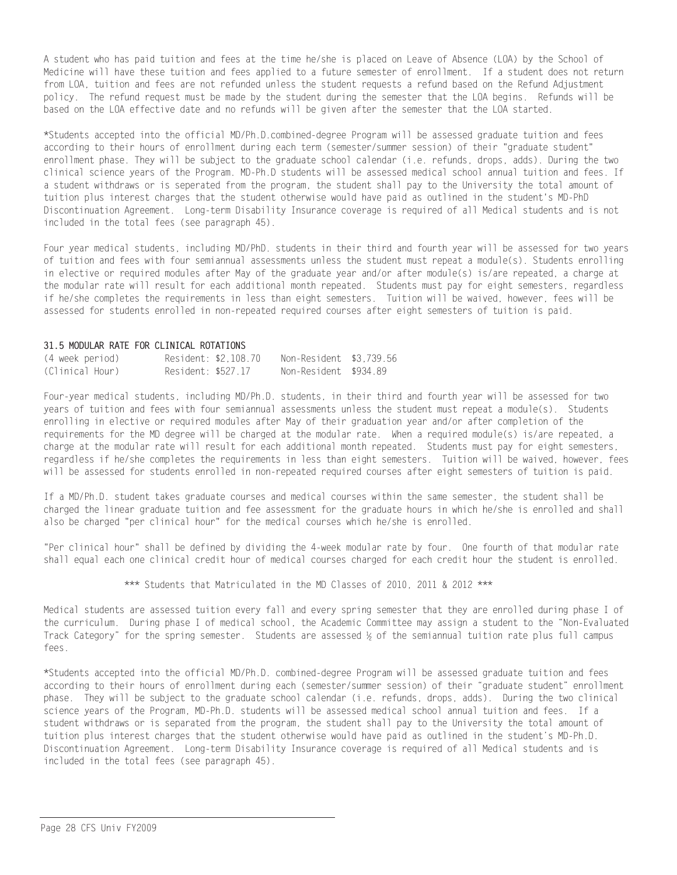A student who has paid tuition and fees at the time he/she is placed on Leave of Absence (LOA) by the School of Medicine will have these tuition and fees applied to a future semester of enrollment. If a student does not return from LOA, tuition and fees are not refunded unless the student requests a refund based on the Refund Adjustment policy. The refund request must be made by the student during the semester that the LOA begins. Refunds will be based on the LOA effective date and no refunds will be given after the semester that the LOA started.

\*Students accepted into the official MD/Ph.D.combined-degree Program will be assessed graduate tuition and fees according to their hours of enrollment during each term (semester/summer session) of their "graduate student" enrollment phase. They will be subject to the graduate school calendar (i.e. refunds, drops, adds). During the two clinical science years of the Program. MD-Ph.D students will be assessed medical school annual tuition and fees. If a student withdraws or is seperated from the program, the student shall pay to the University the total amount of tuition plus interest charges that the student otherwise would have paid as outlined in the student's MD-PhD Discontinuation Agreement. Long-term Disability Insurance coverage is required of all Medical students and is not included in the total fees (see paragraph 45).

Four year medical students, including MD/PhD. students in their third and fourth year will be assessed for two years of tuition and fees with four semiannual assessments unless the student must repeat a module(s). Students enrolling in elective or required modules after May of the graduate year and/or after module(s) is/are repeated, a charge at the modular rate will result for each additional month repeated. Students must pay for eight semesters, regardless if he/she completes the requirements in less than eight semesters. Tuition will be waived, however, fees will be assessed for students enrolled in non-repeated required courses after eight semesters of tuition is paid.

## 31.5 MODULAR RATE FOR CLINICAL ROTATIONS

| (4 week period) |                    | Resident: \$2.108.70 | Non-Resident \$3.739.56 |  |
|-----------------|--------------------|----------------------|-------------------------|--|
| (Clinical Hour) | Resident: \$527.17 |                      | Non-Resident \$934.89   |  |

Four-year medical students, including MD/Ph.D. students, in their third and fourth year will be assessed for two years of tuition and fees with four semiannual assessments unless the student must repeat a module(s). Students enrolling in elective or required modules after May of their graduation year and/or after completion of the requirements for the MD degree will be charged at the modular rate. When a required module(s) is/are repeated, a charge at the modular rate will result for each additional month repeated. Students must pay for eight semesters, regardless if he/she completes the requirements in less than eight semesters. Tuition will be waived, however, fees will be assessed for students enrolled in non-repeated required courses after eight semesters of tuition is paid.

If a MD/Ph.D. student takes graduate courses and medical courses within the same semester, the student shall be charged the linear graduate tuition and fee assessment for the graduate hours in which he/she is enrolled and shall also be charged "per clinical hour" for the medical courses which he/she is enrolled.

"Per clinical hour" shall be defined by dividing the 4-week modular rate by four. One fourth of that modular rate shall equal each one clinical credit hour of medical courses charged for each credit hour the student is enrolled.

\*\*\* Students that Matriculated in the MD Classes of 2010, 2011 & 2012 \*\*\*

Medical students are assessed tuition every fall and every spring semester that they are enrolled during phase I of the curriculum. During phase I of medical school, the Academic Committee may assign a student to the "Non-Evaluated Track Category" for the spring semester. Students are assessed 1/3 of the semiannual tuition rate plus full campus fees.

\*Students accepted into the official MD/Ph.D. combined-degree Program will be assessed graduate tuition and fees according to their hours of enrollment during each (semester/summer session) of their "graduate student" enrollment phase. They will be subject to the graduate school calendar (i.e. refunds, drops, adds). During the two clinical science years of the Program, MD-Ph.D. students will be assessed medical school annual tuition and fees. If a student withdraws or is separated from the program, the student shall pay to the University the total amount of tuition plus interest charges that the student otherwise would have paid as outlined in the student's MD-Ph.D. Discontinuation Agreement. Long-term Disability Insurance coverage is required of all Medical students and is included in the total fees (see paragraph 45).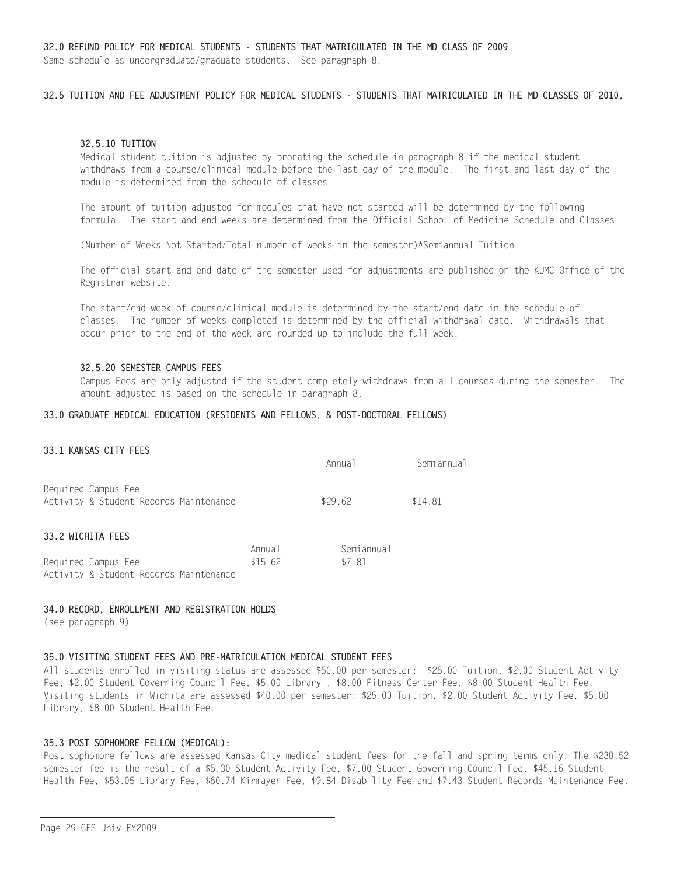32.5 TUITION AND FEE ADJUSTMENT POLICY FOR MEDICAL STUDENTS - STUDENTS THAT MATRICULATED IN THE MD CLASSES OF 2010,

#### 32.5.10 TUITION

Medical student tuition is adjusted by prorating the schedule in paragraph 8 if the medical student withdraws from a course/clinical module before the last day of the module. The first and last day of the module is determined from the schedule of classes.

The amount of tuition adjusted for modules that have not started will be determined by the following formula. The start and end weeks are determined from the Official School of Medicine Schedule and Classes.

(Number of Weeks Not Started/Total number of weeks in the semester)\*Semiannual Tuition

The official start and end date of the semester used for adjustments are published on the KUMC Office of the Registrar website.

The start/end week of course/clinical module is determined by the start/end date in the schedule of classes. The number of weeks completed is determined by the official withdrawal date. Withdrawals that occur prior to the end of the week are rounded up to include the full week.

#### 32.5.20 SEMESTER CAMPUS FEES

Campus Fees are only adjusted if the student completely withdraws from all courses during the semester. The amount adjusted is based on the schedule in paragraph 8.

#### 33.0 GRADUATE MEDICAL EDUCATION (RESIDENTS AND FELLOWS, & POST-DOCTORAL FELLOWS)

# 33.1 KANSAS CITY FEES

|                                        | Annual | Semiannual |
|----------------------------------------|--------|------------|
| Required Campus Fee                    |        |            |
| Activity & Student Records Maintenance | \$2962 | \$14.81    |

# 33.2 WICHITA FEES

|                                        | Annua 1 | Semiannual |
|----------------------------------------|---------|------------|
| Required Campus Fee                    | \$1562  | \$7.81     |
| Activity & Student Records Maintenance |         |            |

#### 34.0 RECORD, ENROLLMENT AND REGISTRATION HOLDS

(see paragraph 9)

## 35.0 VISITING STUDENT FEES AND PRE-MATRICULATION MEDICAL STUDENT FEES

All students enrolled in visiting status are assessed \$50.00 per semester: \$25.00 Tuition, \$2.00 Student Activity Fee, \$2.00 Student Governing Council Fee, \$5.00 Library, \$8.00 Fitness Center Fee, \$8.00 Student Health Fee. Visiting students in Wichita are assessed \$40.00 per semester: \$25.00 Tuition, \$2.00 Student Activity Fee, \$5.00 Library, \$8.00 Student Health Fee.

#### 35.3 POST SOPHOMORE FELLOW (MEDICAL):

Post sophomore fellows are assessed Kansas City medical student fees for the fall and spring terms only. The \$238.52 semester fee is the result of a \$5.30 Student Activity Fee, \$7.00 Student Governing Council Fee, \$45.16 Student Health Fee, \$53.05 Library Fee, \$60.74 Kirmayer Fee, \$9.84 Disability Fee and \$7.43 Student Records Maintenance Fee.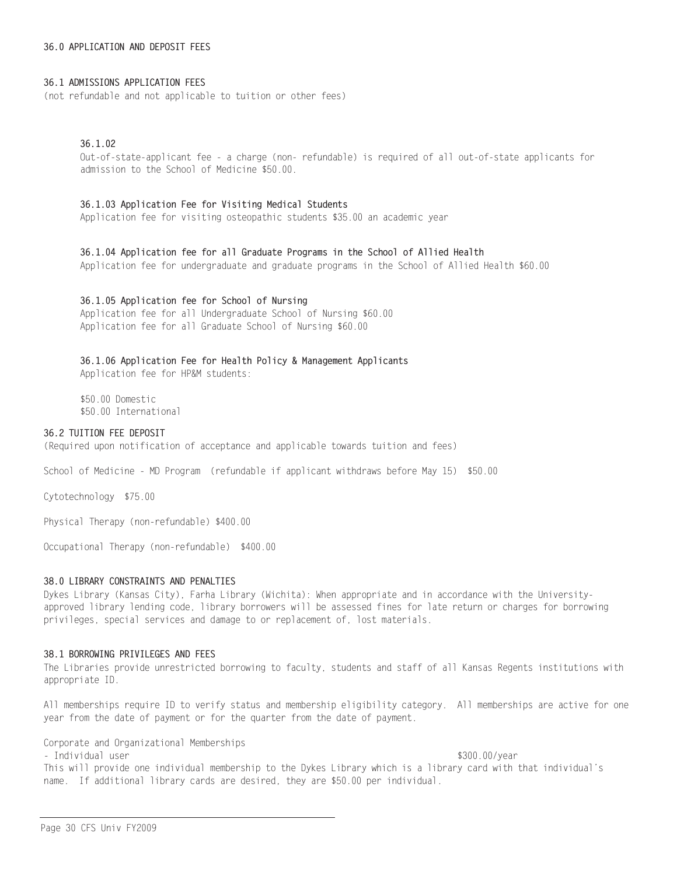### 36.0 APPLICATION AND DEPOSIT FEES

#### 36.1 ADMISSIONS APPLICATION FFFS

(not refundable and not applicable to tuition or other fees)

#### $36.1.02$

Out-of-state-applicant fee - a charge (non- refundable) is required of all out-of-state applicants for admission to the School of Medicine \$50.00.

#### 36.1.03 Application Fee for Visiting Medical Students

Application fee for visiting osteopathic students \$35.00 an academic year

# 36.1.04 Application fee for all Graduate Programs in the School of Allied Health

Application fee for undergraduate and graduate programs in the School of Allied Health \$60.00

#### 36.1.05 Application fee for School of Nursing

Application fee for all Undergraduate School of Nursing \$60.00 Application fee for all Graduate School of Nursing \$60.00

#### 36.1.06 Application Fee for Health Policy & Management Applicants

Application fee for HP&M students:

\$50.00 Domestic \$50.00 International

# 36.2 TUITION FEE DEPOSIT

(Required upon notification of acceptance and applicable towards tuition and fees)

School of Medicine - MD Program (refundable if applicant withdraws before May 15) \$50.00

Cytotechnology \$75.00

Physical Therapy (non-refundable) \$400.00

Occupational Therapy (non-refundable) \$400.00

#### 38.0 LIBRARY CONSTRAINTS AND PENALTIES

Dykes Library (Kansas City), Farha Library (Wichita): When appropriate and in accordance with the Universityapproved library lending code, library borrowers will be assessed fines for late return or charges for borrowing privileges, special services and damage to or replacement of, lost materials.

#### 38.1 BORROWING PRIVILEGES AND FFES

The Libraries provide unrestricted borrowing to faculty, students and staff of all Kansas Regents institutions with appropriate ID.

All memberships require ID to verify status and membership eligibility category. All memberships are active for one year from the date of payment or for the quarter from the date of payment.

Corporate and Organizational Memberships

- Individual user

\$300.00/year

This will provide one individual membership to the Dykes Library which is a library card with that individual's name. If additional library cards are desired, they are \$50.00 per individual.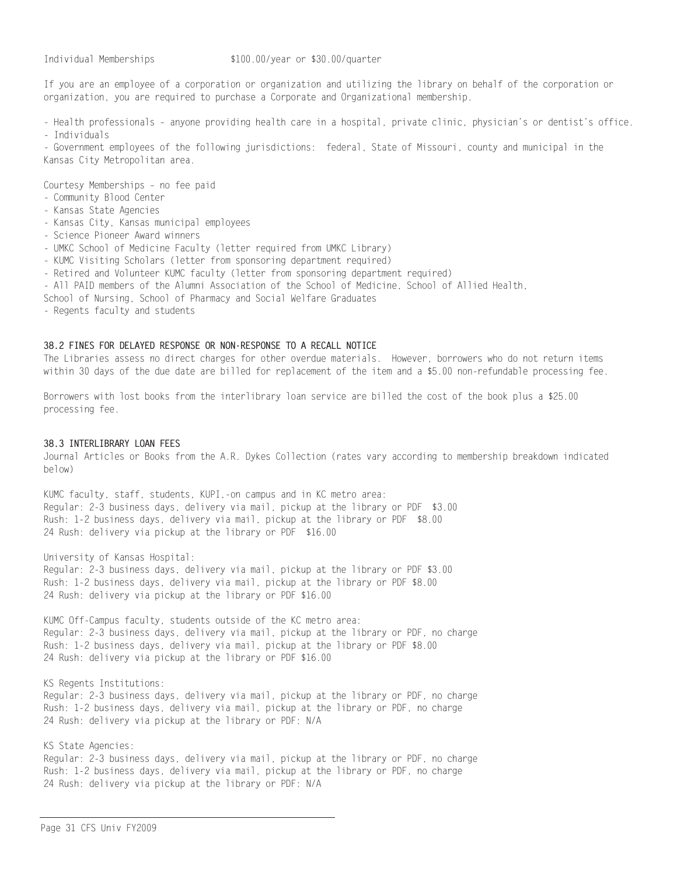If you are an employee of a corporation or organization and utilizing the library on behalf of the corporation or organization, you are required to purchase a Corporate and Organizational membership.

- Health professionals - anyone providing health care in a hospital, private clinic, physician's or dentist's office.

- Individuals

- Government employees of the following jurisdictions: federal, State of Missouri, county and municipal in the Kansas City Metropolitan area.

Courtesy Memberships - no fee paid

- Community Blood Center
- Kansas State Agencies
- Kansas City, Kansas municipal employees
- Science Pioneer Award winners
- UMKC School of Medicine Faculty (letter required from UMKC Library)
- KUMC Visiting Scholars (letter from sponsoring department required)
- Retired and Volunteer KUMC faculty (letter from sponsoring department required)
- All PAID members of the Alumni Association of the School of Medicine, School of Allied Health,
- School of Nursing, School of Pharmacy and Social Welfare Graduates
- Regents faculty and students

## 38.2 FINES FOR DELAYED RESPONSE OR NON-RESPONSE TO A RECALL NOTICE

The Libraries assess no direct charges for other overdue materials. However, borrowers who do not return items within 30 days of the due date are billed for replacement of the item and a \$5.00 non-refundable processing fee.

Borrowers with lost books from the interlibrary loan service are billed the cost of the book plus a \$25.00 processing fee.

## 38.3 INTERLIBRARY LOAN FEES

Journal Articles or Books from the A.R. Dykes Collection (rates vary according to membership breakdown indicated below)

KUMC faculty, staff, students, KUPI,-on campus and in KC metro area: Regular: 2-3 business days, delivery via mail, pickup at the library or PDF \$3.00 Rush: 1-2 business days, delivery via mail, pickup at the library or PDF \$8.00 24 Rush: delivery via pickup at the library or PDF \$16.00

University of Kansas Hospital:

Regular: 2-3 business days, delivery via mail, pickup at the library or PDF \$3.00 Rush: 1-2 business days, delivery via mail, pickup at the library or PDF \$8.00 24 Rush: delivery via pickup at the library or PDF \$16.00

KUMC Off-Campus faculty, students outside of the KC metro area: Regular: 2-3 business days, delivery via mail, pickup at the library or PDF, no charge Rush: 1-2 business days, delivery via mail, pickup at the library or PDF \$8.00 24 Rush: delivery via pickup at the library or PDF \$16.00

KS Regents Institutions: Regular: 2-3 business days, delivery via mail, pickup at the library or PDF, no charge Rush: 1-2 business days, delivery via mail, pickup at the library or PDF, no charge 24 Rush: delivery via pickup at the library or PDF: N/A

KS State Agencies:

Regular: 2-3 business days, delivery via mail, pickup at the library or PDF, no charge Rush: 1-2 business days, delivery via mail, pickup at the library or PDF, no charge 24 Rush: delivery via pickup at the library or PDF: N/A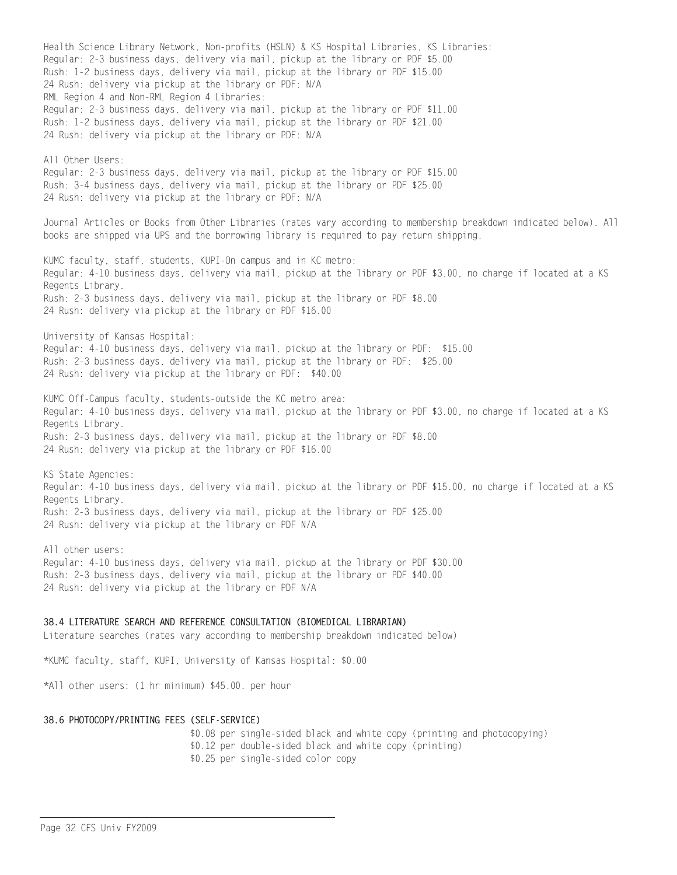Health Science Library Network, Non-profits (HSLN) & KS Hospital Libraries, KS Libraries: Regular: 2-3 business days, delivery via mail, pickup at the library or PDF \$5.00 Rush: 1-2 business days, delivery via mail, pickup at the library or PDF \$15.00 24 Rush: delivery via pickup at the library or PDF: N/A RML Region 4 and Non-RML Region 4 Libraries: Regular: 2-3 business days, delivery via mail, pickup at the library or PDF \$11.00 Rush: 1-2 business days, delivery via mail, pickup at the library or PDF \$21.00 24 Rush: delivery via pickup at the library or PDF: N/A All Other Users: Regular: 2-3 business days, delivery via mail, pickup at the library or PDF \$15.00 Rush: 3-4 business days, delivery via mail, pickup at the library or PDF \$25.00 24 Rush: delivery via pickup at the library or PDF: N/A Journal Articles or Books from Other Libraries (rates vary according to membership breakdown indicated below). All books are shipped via UPS and the borrowing library is required to pay return shipping. KUMC faculty, staff, students, KUPI-On campus and in KC metro: Regular: 4-10 business days, delivery via mail, pickup at the library or PDF \$3.00, no charge if located at a KS Regents Library. Rush: 2-3 business days, delivery via mail, pickup at the library or PDF \$8.00 24 Rush: delivery via pickup at the library or PDF \$16.00 University of Kansas Hospital: Regular: 4-10 business days, delivery via mail, pickup at the library or PDF: \$15.00 Rush: 2-3 business days, delivery via mail, pickup at the library or PDF: \$25.00 24 Rush: delivery via pickup at the library or PDF: \$40.00 KUMC Off-Campus faculty, students-outside the KC metro area: Regular: 4-10 business days, delivery via mail, pickup at the library or PDF \$3.00, no charge if located at a KS Regents Library. Rush: 2-3 business days, delivery via mail, pickup at the library or PDF \$8.00 24 Rush: delivery via pickup at the library or PDF \$16.00 KS State Agencies: Regular: 4-10 business days, delivery via mail, pickup at the library or PDF \$15.00, no charge if located at a KS Regents Library. Rush: 2-3 business days, delivery via mail, pickup at the library or PDF \$25.00 24 Rush: delivery via pickup at the library or PDF N/A All other users: Regular: 4-10 business days, delivery via mail, pickup at the library or PDF \$30.00 Rush: 2-3 business days, delivery via mail, pickup at the library or PDF \$40.00 24 Rush: delivery via pickup at the library or PDF N/A

# 38.4 LITERATURE SEARCH AND REFERENCE CONSULTATION (BIOMEDICAL LIBRARIAN)

Literature searches (rates vary according to membership breakdown indicated below)

\*KUMC faculty, staff, KUPI, University of Kansas Hospital: \$0.00

\*All other users: (1 hr minimum) \$45.00. per hour

#### 38.6 PHOTOCOPY/PRINTING FEES (SELF-SERVICE)

\$0.08 per single-sided black and white copy (printing and photocopying) \$0.12 per double-sided black and white copy (printing) \$0.25 per single-sided color copy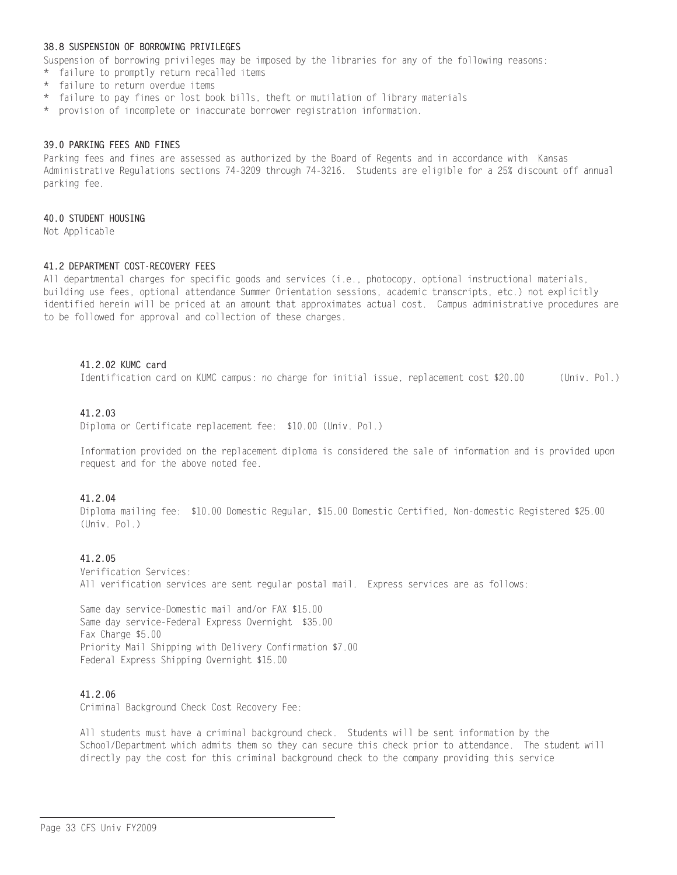## 38.8 SUSPENSION OF BORROWING PRIVILEGES

Suspension of borrowing privileges may be imposed by the libraries for any of the following reasons:

- \* failure to promptly return recalled items
- \* failure to return overdue items
- \* failure to pay fines or lost book bills, theft or mutilation of library materials
- \* provision of incomplete or inaccurate borrower registration information.

#### 39.0 PARKING FEES AND FINES

Parking fees and fines are assessed as authorized by the Board of Regents and in accordance with Kansas Administrative Regulations sections 74-3209 through 74-3216. Students are eligible for a 25% discount off annual parking fee.

#### 40.0 STUDENT HOUSING

Not Applicable

#### 41.2 DEPARTMENT COST-RECOVERY FEES

All departmental charges for specific goods and services (i.e., photocopy, optional instructional materials, building use fees, optional attendance Summer Orientation sessions, academic transcripts, etc.) not explicitly identified herein will be priced at an amount that approximates actual cost. Campus administrative procedures are to be followed for approval and collection of these charges.

#### 41.2.02 KUMC card

Identification card on KUMC campus: no charge for initial issue, replacement cost \$20.00 (Univ. Pol.)

# 41.2.03

Diploma or Certificate replacement fee: \$10.00 (Univ. Pol.)

Information provided on the replacement diploma is considered the sale of information and is provided upon request and for the above noted fee.

#### 41.2.04

Diploma mailing fee: \$10.00 Domestic Regular, \$15.00 Domestic Certified, Non-domestic Registered \$25.00 (Univ. Pol.)

# 41.2.05

Verification Services: All verification services are sent regular postal mail. Express services are as follows:

Same day service-Domestic mail and/or FAX \$15.00 Same day service-Federal Express Overnight \$35.00 Fax Charge \$5.00 Priority Mail Shipping with Delivery Confirmation \$7.00 Federal Express Shipping Overnight \$15.00

#### 41.2.06

Criminal Background Check Cost Recovery Fee:

All students must have a criminal background check. Students will be sent information by the School/Department which admits them so they can secure this check prior to attendance. The student will directly pay the cost for this criminal background check to the company providing this service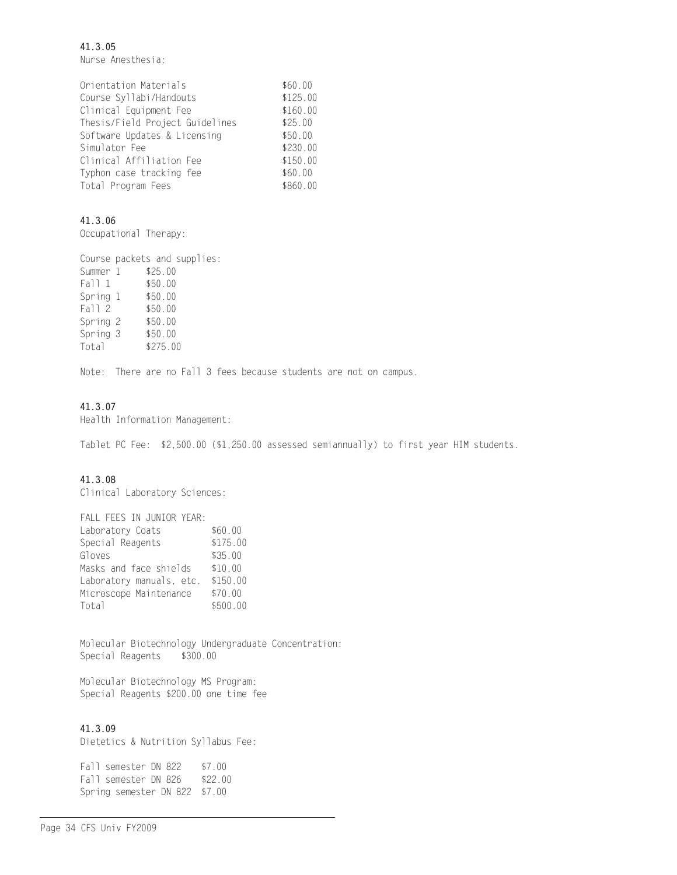41.3.05 Nurse Anesthesia:

| Orientation Materials           | \$60.00  |
|---------------------------------|----------|
| Course Syllabi/Handouts         | \$125.00 |
| Clinical Equipment Fee          | \$160.00 |
| Thesis/Field Project Guidelines | \$25.00  |
| Software Updates & Licensing    | \$50.00  |
| Simulator Fee                   | \$230.00 |
| Clinical Affiliation Fee        | \$150.00 |
| Typhon case tracking fee        | \$60.00  |
| Total Program Fees              | \$860.00 |

# 41.3.06

Occupational Therapy:

Course packets and supplies: Summer 1 \$25.00 Fall 1 \$50.00 Spring 1 \$50.00 Fall 2 \$50.00 Spring 2 \$50.00 Spring 3 \$50.00 Total \$275.00

Note: There are no Fall 3 fees because students are not on campus.

# 41.3.07

Health Information Management:

Tablet PC Fee: \$2,500.00 (\$1,250.00 assessed semiannually) to first year HIM students.

# 41.3.08

Clinical Laboratory Sciences:

| FALL FEES IN JUNIOR YEAR: |          |
|---------------------------|----------|
| Laboratory Coats          | \$60.00  |
| Special Reagents          | \$175.00 |
| Gloves                    | \$35.00  |
| Masks and face shields    | \$10.00  |
| Laboratory manuals, etc.  | \$150.00 |
| Microscope Maintenance    | \$70.00  |
| Total                     | \$500.00 |

Molecular Biotechnology Undergraduate Concentration: Special Reagents \$300.00

Molecular Biotechnology MS Program: Special Reagents \$200.00 one time fee

# 41.3.09

Dietetics & Nutrition Syllabus Fee:

Fall semester DN 822  $$7.00$ Fall semester DN 826 \$22.00 Spring semester DN 822 \$7.00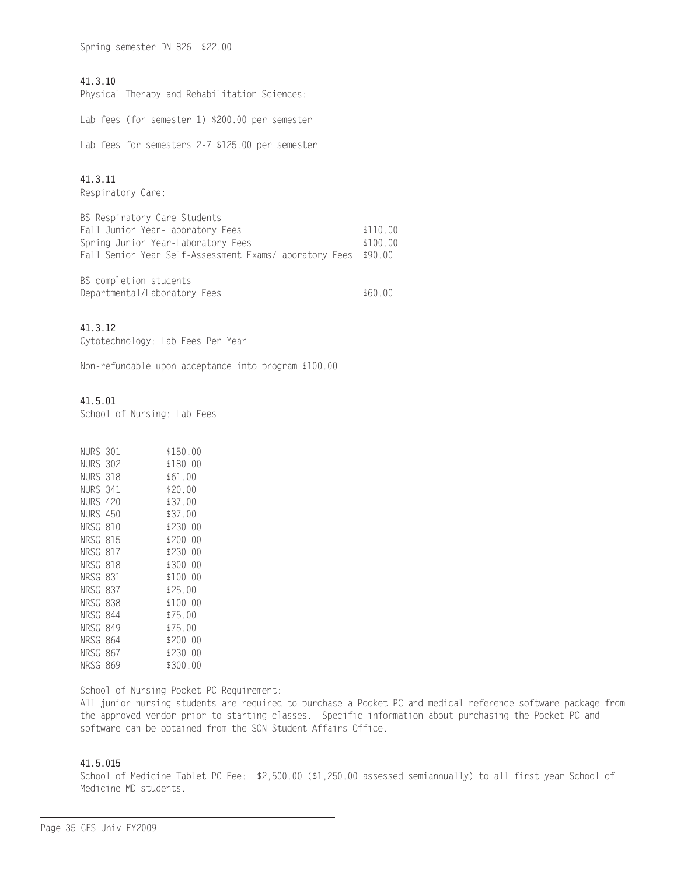Spring semester DN 826 \$22.00

# 41.3.10

Physical Therapy and Rehabilitation Sciences:

Lab fees (for semester 1) \$200.00 per semester

Lab fees for semesters 2-7 \$125.00 per semester

# 41.3.11

Respiratory Care:

| BS Respiratory Care Students                                   |          |
|----------------------------------------------------------------|----------|
| Fall Junior Year-Laboratory Fees                               | \$110 00 |
| Spring Junior Year-Laboratory Fees                             | \$100 00 |
| Fall Senior Year Self-Assessment Exams/Laboratory Fees \$90.00 |          |
|                                                                |          |

| BS completion students       |         |
|------------------------------|---------|
| Departmental/Laboratory Fees | \$60.00 |

# 41.3.12

Cytotechnology: Lab Fees Per Year

Non-refundable upon acceptance into program \$100.00

# 41.5.01

School of Nursing: Lab Fees

| NURS 301 |     | \$150.00 |
|----------|-----|----------|
| NURS 302 |     | \$180.00 |
| NURS 318 |     | \$61.00  |
| NURS 341 |     | \$20.00  |
| NURS 420 |     | \$37.00  |
| NURS 450 |     | \$37.00  |
| NRSG     | 810 | \$230.00 |
| NRSG     | 815 | \$200.00 |
| NRSG     | 817 | \$230.00 |
| NRSG 818 |     | \$300.00 |
| NRSG     | 831 | \$100.00 |
| NRSG     | 837 | \$25.00  |
| NRSG     | 838 | \$100.00 |
| NRSG     | 844 | \$75.00  |
| NRSG     | 849 | \$75.00  |
| NRSG     | 864 | \$200.00 |
| NRSG     | 867 | \$230.00 |
| NRSG     | 869 | \$300.00 |
|          |     |          |

School of Nursing Pocket PC Requirement:

All junior nursing students are required to purchase a Pocket PC and medical reference software package from the approved vendor prior to starting classes. Specific information about purchasing the Pocket PC and software can be obtained from the SON Student Affairs Office.

# 41.5.015

School of Medicine Tablet PC Fee: \$2,500.00 (\$1,250.00 assessed semiannually) to all first year School of Medicine MD students.